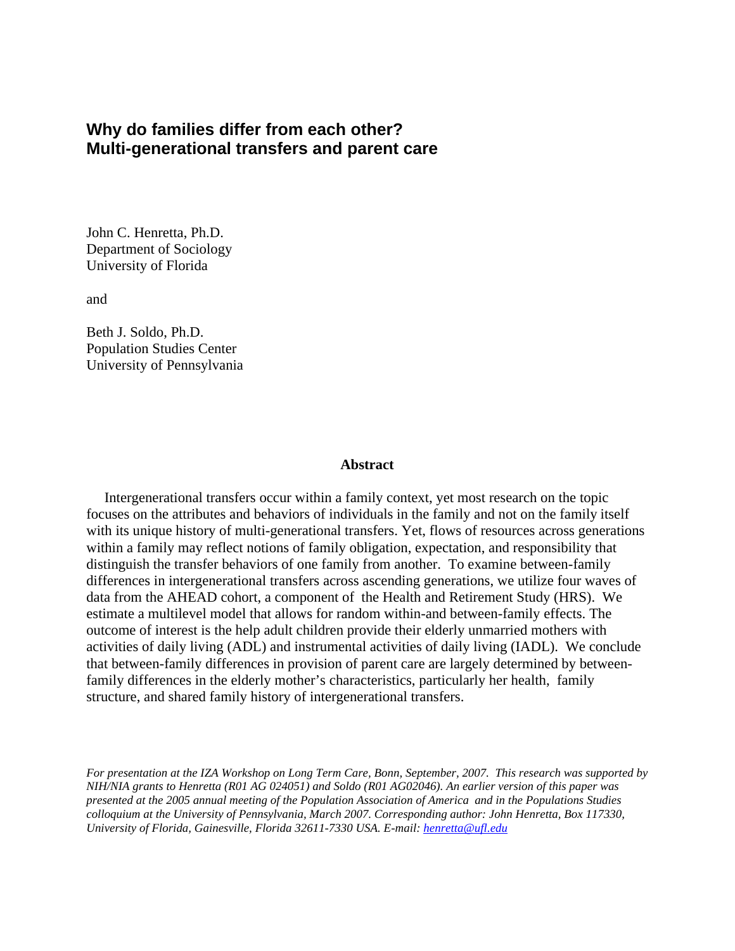# **Why do families differ from each other? Multi-generational transfers and parent care**

John C. Henretta, Ph.D. Department of Sociology University of Florida

and

Beth J. Soldo, Ph.D. Population Studies Center University of Pennsylvania

#### **Abstract**

Intergenerational transfers occur within a family context, yet most research on the topic focuses on the attributes and behaviors of individuals in the family and not on the family itself with its unique history of multi-generational transfers. Yet, flows of resources across generations within a family may reflect notions of family obligation, expectation, and responsibility that distinguish the transfer behaviors of one family from another. To examine between-family differences in intergenerational transfers across ascending generations, we utilize four waves of data from the AHEAD cohort, a component of the Health and Retirement Study (HRS). We estimate a multilevel model that allows for random within-and between-family effects. The outcome of interest is the help adult children provide their elderly unmarried mothers with activities of daily living (ADL) and instrumental activities of daily living (IADL). We conclude that between-family differences in provision of parent care are largely determined by betweenfamily differences in the elderly mother's characteristics, particularly her health, family structure, and shared family history of intergenerational transfers.

*For presentation at the IZA Workshop on Long Term Care, Bonn, September, 2007. This research was supported by NIH/NIA grants to Henretta (R01 AG 024051) and Soldo (R01 AG02046). An earlier version of this paper was presented at the 2005 annual meeting of the Population Association of America and in the Populations Studies colloquium at the University of Pennsylvania, March 2007. Corresponding author: John Henretta, Box 117330, University of Florida, Gainesville, Florida 32611-7330 USA. E-mail: henretta@ufl.edu*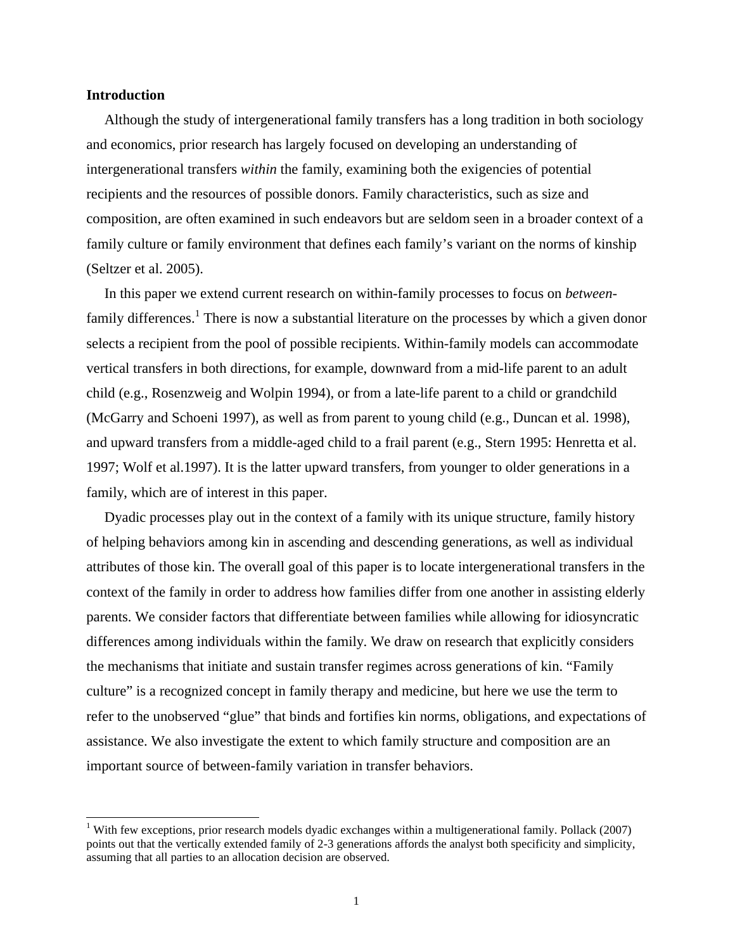#### **Introduction**

1

Although the study of intergenerational family transfers has a long tradition in both sociology and economics, prior research has largely focused on developing an understanding of intergenerational transfers *within* the family, examining both the exigencies of potential recipients and the resources of possible donors. Family characteristics, such as size and composition, are often examined in such endeavors but are seldom seen in a broader context of a family culture or family environment that defines each family's variant on the norms of kinship (Seltzer et al. 2005).

In this paper we extend current research on within-family processes to focus on *between*family differences.<sup>1</sup> There is now a substantial literature on the processes by which a given donor selects a recipient from the pool of possible recipients. Within-family models can accommodate vertical transfers in both directions, for example, downward from a mid-life parent to an adult child (e.g., Rosenzweig and Wolpin 1994), or from a late-life parent to a child or grandchild (McGarry and Schoeni 1997), as well as from parent to young child (e.g., Duncan et al. 1998), and upward transfers from a middle-aged child to a frail parent (e.g., Stern 1995: Henretta et al. 1997; Wolf et al.1997). It is the latter upward transfers, from younger to older generations in a family, which are of interest in this paper.

Dyadic processes play out in the context of a family with its unique structure, family history of helping behaviors among kin in ascending and descending generations, as well as individual attributes of those kin. The overall goal of this paper is to locate intergenerational transfers in the context of the family in order to address how families differ from one another in assisting elderly parents. We consider factors that differentiate between families while allowing for idiosyncratic differences among individuals within the family. We draw on research that explicitly considers the mechanisms that initiate and sustain transfer regimes across generations of kin. "Family culture" is a recognized concept in family therapy and medicine, but here we use the term to refer to the unobserved "glue" that binds and fortifies kin norms, obligations, and expectations of assistance. We also investigate the extent to which family structure and composition are an important source of between-family variation in transfer behaviors.

<sup>&</sup>lt;sup>1</sup> With few exceptions, prior research models dyadic exchanges within a multigenerational family. Pollack (2007) points out that the vertically extended family of 2-3 generations affords the analyst both specificity and simplicity, assuming that all parties to an allocation decision are observed.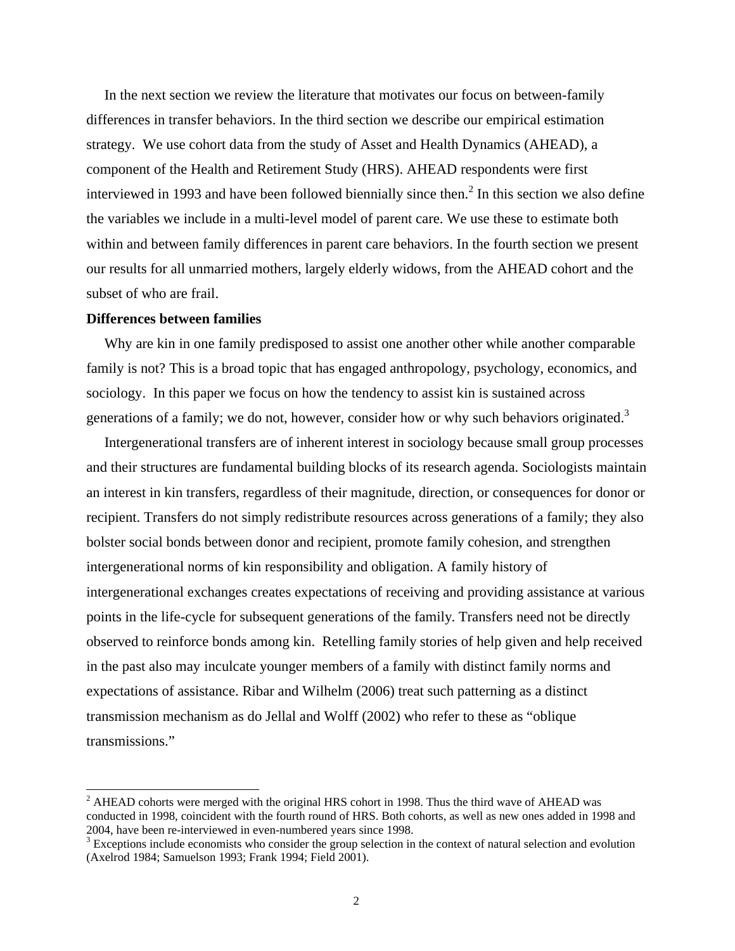In the next section we review the literature that motivates our focus on between-family differences in transfer behaviors. In the third section we describe our empirical estimation strategy. We use cohort data from the study of Asset and Health Dynamics (AHEAD), a component of the Health and Retirement Study (HRS). AHEAD respondents were first interviewed in 1993 and have been followed biennially since then.<sup>2</sup> In this section we also define the variables we include in a multi-level model of parent care. We use these to estimate both within and between family differences in parent care behaviors. In the fourth section we present our results for all unmarried mothers, largely elderly widows, from the AHEAD cohort and the subset of who are frail.

## **Differences between families**

 $\overline{\phantom{a}}$ 

Why are kin in one family predisposed to assist one another other while another comparable family is not? This is a broad topic that has engaged anthropology, psychology, economics, and sociology. In this paper we focus on how the tendency to assist kin is sustained across generations of a family; we do not, however, consider how or why such behaviors originated.<sup>3</sup>

Intergenerational transfers are of inherent interest in sociology because small group processes and their structures are fundamental building blocks of its research agenda. Sociologists maintain an interest in kin transfers, regardless of their magnitude, direction, or consequences for donor or recipient. Transfers do not simply redistribute resources across generations of a family; they also bolster social bonds between donor and recipient, promote family cohesion, and strengthen intergenerational norms of kin responsibility and obligation. A family history of intergenerational exchanges creates expectations of receiving and providing assistance at various points in the life-cycle for subsequent generations of the family. Transfers need not be directly observed to reinforce bonds among kin. Retelling family stories of help given and help received in the past also may inculcate younger members of a family with distinct family norms and expectations of assistance. Ribar and Wilhelm (2006) treat such patterning as a distinct transmission mechanism as do Jellal and Wolff (2002) who refer to these as "oblique transmissions."

 $2$  AHEAD cohorts were merged with the original HRS cohort in 1998. Thus the third wave of AHEAD was conducted in 1998, coincident with the fourth round of HRS. Both cohorts, as well as new ones added in 1998 and 2004, have been re-interviewed in even-numbered years since 1998.

 $3$  Exceptions include economists who consider the group selection in the context of natural selection and evolution (Axelrod 1984; Samuelson 1993; Frank 1994; Field 2001).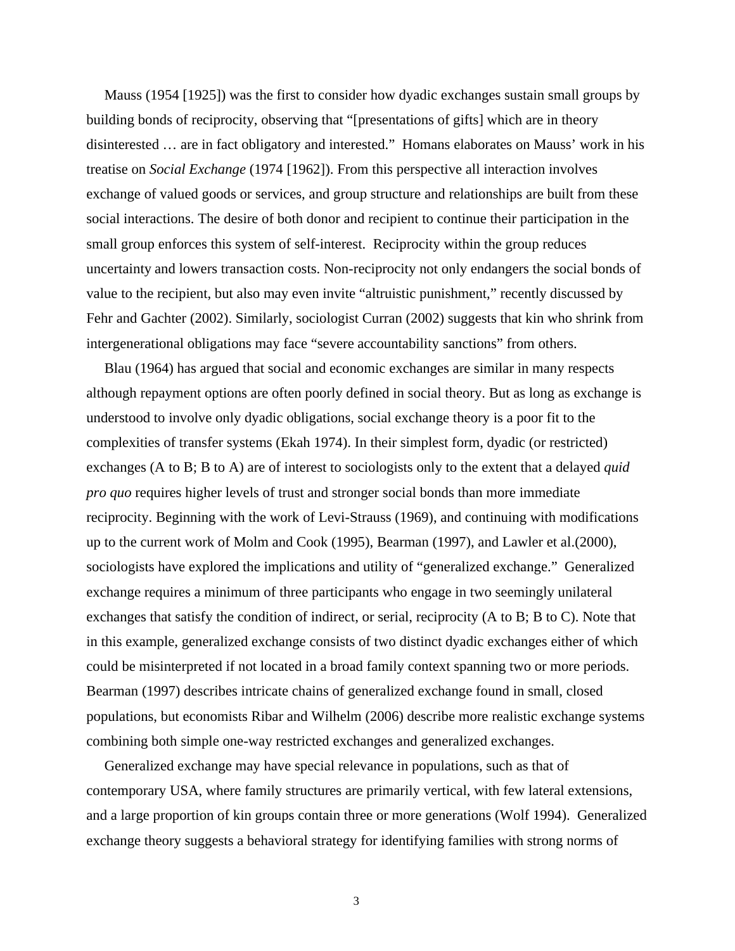Mauss (1954 [1925]) was the first to consider how dyadic exchanges sustain small groups by building bonds of reciprocity, observing that "[presentations of gifts] which are in theory disinterested … are in fact obligatory and interested." Homans elaborates on Mauss' work in his treatise on *Social Exchange* (1974 [1962]). From this perspective all interaction involves exchange of valued goods or services, and group structure and relationships are built from these social interactions. The desire of both donor and recipient to continue their participation in the small group enforces this system of self-interest. Reciprocity within the group reduces uncertainty and lowers transaction costs. Non-reciprocity not only endangers the social bonds of value to the recipient, but also may even invite "altruistic punishment," recently discussed by Fehr and Gachter (2002). Similarly, sociologist Curran (2002) suggests that kin who shrink from intergenerational obligations may face "severe accountability sanctions" from others.

Blau (1964) has argued that social and economic exchanges are similar in many respects although repayment options are often poorly defined in social theory. But as long as exchange is understood to involve only dyadic obligations, social exchange theory is a poor fit to the complexities of transfer systems (Ekah 1974). In their simplest form, dyadic (or restricted) exchanges (A to B; B to A) are of interest to sociologists only to the extent that a delayed *quid pro quo* requires higher levels of trust and stronger social bonds than more immediate reciprocity. Beginning with the work of Levi-Strauss (1969), and continuing with modifications up to the current work of Molm and Cook (1995), Bearman (1997), and Lawler et al.(2000), sociologists have explored the implications and utility of "generalized exchange." Generalized exchange requires a minimum of three participants who engage in two seemingly unilateral exchanges that satisfy the condition of indirect, or serial, reciprocity (A to B; B to C). Note that in this example, generalized exchange consists of two distinct dyadic exchanges either of which could be misinterpreted if not located in a broad family context spanning two or more periods. Bearman (1997) describes intricate chains of generalized exchange found in small, closed populations, but economists Ribar and Wilhelm (2006) describe more realistic exchange systems combining both simple one-way restricted exchanges and generalized exchanges.

Generalized exchange may have special relevance in populations, such as that of contemporary USA, where family structures are primarily vertical, with few lateral extensions, and a large proportion of kin groups contain three or more generations (Wolf 1994). Generalized exchange theory suggests a behavioral strategy for identifying families with strong norms of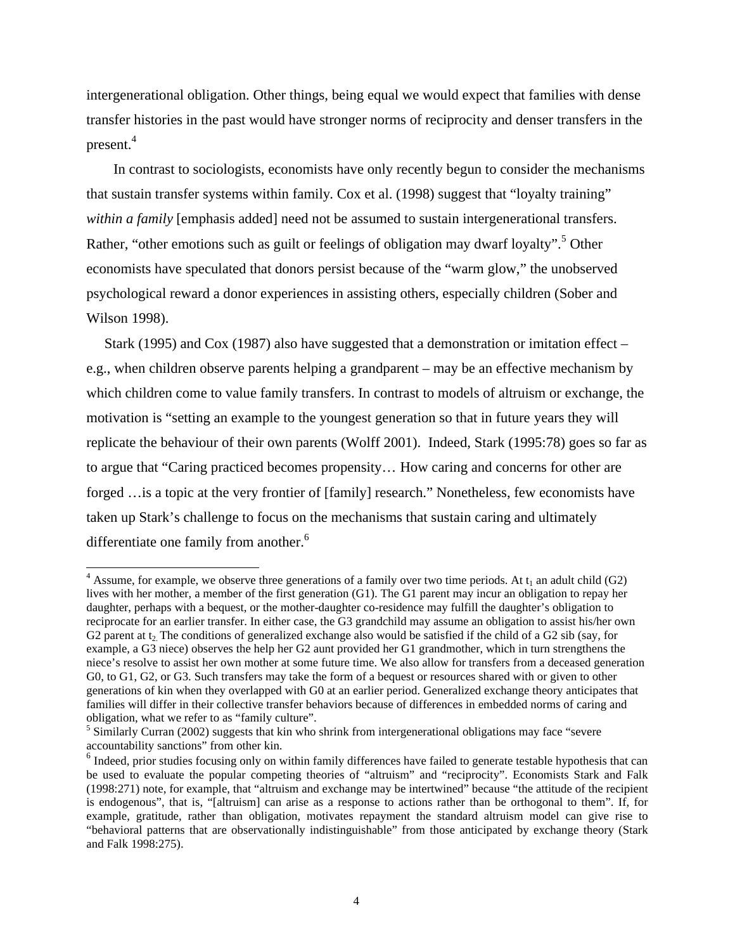intergenerational obligation. Other things, being equal we would expect that families with dense transfer histories in the past would have stronger norms of reciprocity and denser transfers in the present. 4

In contrast to sociologists, economists have only recently begun to consider the mechanisms that sustain transfer systems within family. Cox et al. (1998) suggest that "loyalty training" *within a family* [emphasis added] need not be assumed to sustain intergenerational transfers. Rather, "other emotions such as guilt or feelings of obligation may dwarf loyalty".<sup>5</sup> Other economists have speculated that donors persist because of the "warm glow," the unobserved psychological reward a donor experiences in assisting others, especially children (Sober and Wilson 1998).

Stark (1995) and Cox (1987) also have suggested that a demonstration or imitation effect – e.g., when children observe parents helping a grandparent – may be an effective mechanism by which children come to value family transfers. In contrast to models of altruism or exchange, the motivation is "setting an example to the youngest generation so that in future years they will replicate the behaviour of their own parents (Wolff 2001). Indeed, Stark (1995:78) goes so far as to argue that "Caring practiced becomes propensity… How caring and concerns for other are forged …is a topic at the very frontier of [family] research." Nonetheless, few economists have taken up Stark's challenge to focus on the mechanisms that sustain caring and ultimately differentiate one family from another.<sup>6</sup>

-

<sup>&</sup>lt;sup>4</sup> Assume, for example, we observe three generations of a family over two time periods. At  $t_1$  an adult child (G2) lives with her mother, a member of the first generation (G1). The G1 parent may incur an obligation to repay her daughter, perhaps with a bequest, or the mother-daughter co-residence may fulfill the daughter's obligation to reciprocate for an earlier transfer. In either case, the G3 grandchild may assume an obligation to assist his/her own G2 parent at  $t_2$ . The conditions of generalized exchange also would be satisfied if the child of a G2 sib (say, for example, a G3 niece) observes the help her G2 aunt provided her G1 grandmother, which in turn strengthens the niece's resolve to assist her own mother at some future time. We also allow for transfers from a deceased generation G0, to G1, G2, or G3. Such transfers may take the form of a bequest or resources shared with or given to other generations of kin when they overlapped with G0 at an earlier period. Generalized exchange theory anticipates that families will differ in their collective transfer behaviors because of differences in embedded norms of caring and obligation, what we refer to as "family culture".

<sup>&</sup>lt;sup>5</sup> Similarly Curran (2002) suggests that kin who shrink from intergenerational obligations may face "severe accountability sanctions" from other kin.

<sup>&</sup>lt;sup>6</sup> Indeed, prior studies focusing only on within family differences have failed to generate testable hypothesis that can be used to evaluate the popular competing theories of "altruism" and "reciprocity". Economists Stark and Falk (1998:271) note, for example, that "altruism and exchange may be intertwined" because "the attitude of the recipient is endogenous", that is, "[altruism] can arise as a response to actions rather than be orthogonal to them". If, for example, gratitude, rather than obligation, motivates repayment the standard altruism model can give rise to "behavioral patterns that are observationally indistinguishable" from those anticipated by exchange theory (Stark and Falk 1998:275).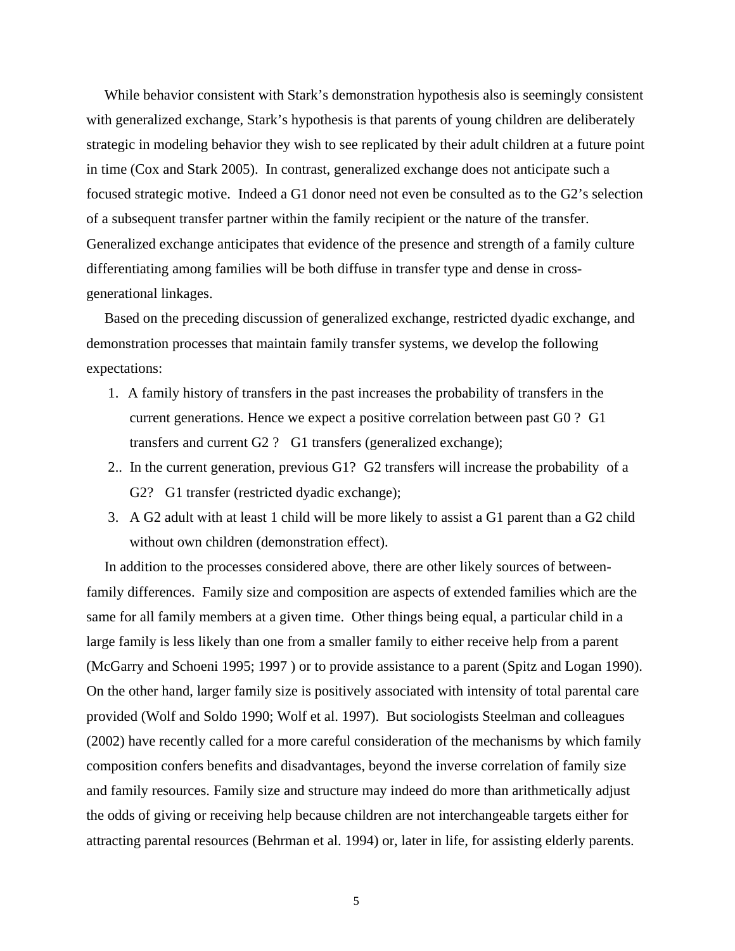While behavior consistent with Stark's demonstration hypothesis also is seemingly consistent with generalized exchange, Stark's hypothesis is that parents of young children are deliberately strategic in modeling behavior they wish to see replicated by their adult children at a future point in time (Cox and Stark 2005). In contrast, generalized exchange does not anticipate such a focused strategic motive. Indeed a G1 donor need not even be consulted as to the G2's selection of a subsequent transfer partner within the family recipient or the nature of the transfer. Generalized exchange anticipates that evidence of the presence and strength of a family culture differentiating among families will be both diffuse in transfer type and dense in crossgenerational linkages.

Based on the preceding discussion of generalized exchange, restricted dyadic exchange, and demonstration processes that maintain family transfer systems, we develop the following expectations:

- 1. A family history of transfers in the past increases the probability of transfers in the current generations. Hence we expect a positive correlation between past G0 ? G1 transfers and current G2 ? G1 transfers (generalized exchange);
- 2.. In the current generation, previous G1? G2 transfers will increase the probability of a G2? G1 transfer (restricted dyadic exchange);
- 3. A G2 adult with at least 1 child will be more likely to assist a G1 parent than a G2 child without own children (demonstration effect).

In addition to the processes considered above, there are other likely sources of betweenfamily differences. Family size and composition are aspects of extended families which are the same for all family members at a given time. Other things being equal, a particular child in a large family is less likely than one from a smaller family to either receive help from a parent (McGarry and Schoeni 1995; 1997 ) or to provide assistance to a parent (Spitz and Logan 1990). On the other hand, larger family size is positively associated with intensity of total parental care provided (Wolf and Soldo 1990; Wolf et al. 1997). But sociologists Steelman and colleagues (2002) have recently called for a more careful consideration of the mechanisms by which family composition confers benefits and disadvantages, beyond the inverse correlation of family size and family resources. Family size and structure may indeed do more than arithmetically adjust the odds of giving or receiving help because children are not interchangeable targets either for attracting parental resources (Behrman et al. 1994) or, later in life, for assisting elderly parents.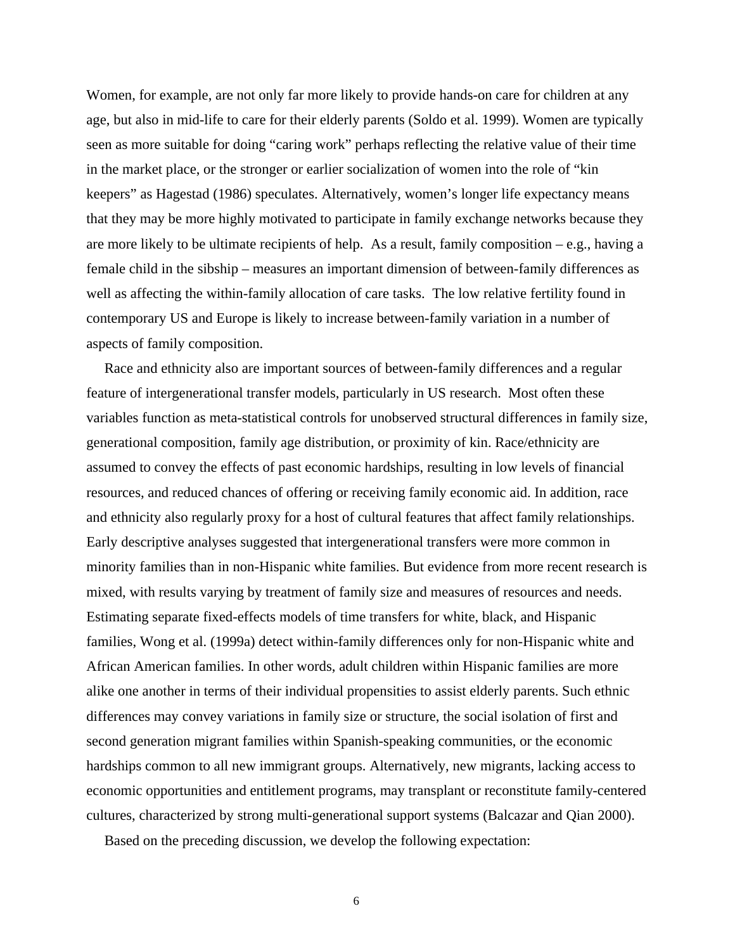Women, for example, are not only far more likely to provide hands-on care for children at any age, but also in mid-life to care for their elderly parents (Soldo et al. 1999). Women are typically seen as more suitable for doing "caring work" perhaps reflecting the relative value of their time in the market place, or the stronger or earlier socialization of women into the role of "kin keepers" as Hagestad (1986) speculates. Alternatively, women's longer life expectancy means that they may be more highly motivated to participate in family exchange networks because they are more likely to be ultimate recipients of help. As a result, family composition – e.g., having a female child in the sibship – measures an important dimension of between-family differences as well as affecting the within-family allocation of care tasks. The low relative fertility found in contemporary US and Europe is likely to increase between-family variation in a number of aspects of family composition.

Race and ethnicity also are important sources of between-family differences and a regular feature of intergenerational transfer models, particularly in US research. Most often these variables function as meta-statistical controls for unobserved structural differences in family size, generational composition, family age distribution, or proximity of kin. Race/ethnicity are assumed to convey the effects of past economic hardships, resulting in low levels of financial resources, and reduced chances of offering or receiving family economic aid. In addition, race and ethnicity also regularly proxy for a host of cultural features that affect family relationships. Early descriptive analyses suggested that intergenerational transfers were more common in minority families than in non-Hispanic white families. But evidence from more recent research is mixed, with results varying by treatment of family size and measures of resources and needs. Estimating separate fixed-effects models of time transfers for white, black, and Hispanic families, Wong et al. (1999a) detect within-family differences only for non-Hispanic white and African American families. In other words, adult children within Hispanic families are more alike one another in terms of their individual propensities to assist elderly parents. Such ethnic differences may convey variations in family size or structure, the social isolation of first and second generation migrant families within Spanish-speaking communities, or the economic hardships common to all new immigrant groups. Alternatively, new migrants, lacking access to economic opportunities and entitlement programs, may transplant or reconstitute family-centered cultures, characterized by strong multi-generational support systems (Balcazar and Qian 2000).

Based on the preceding discussion, we develop the following expectation: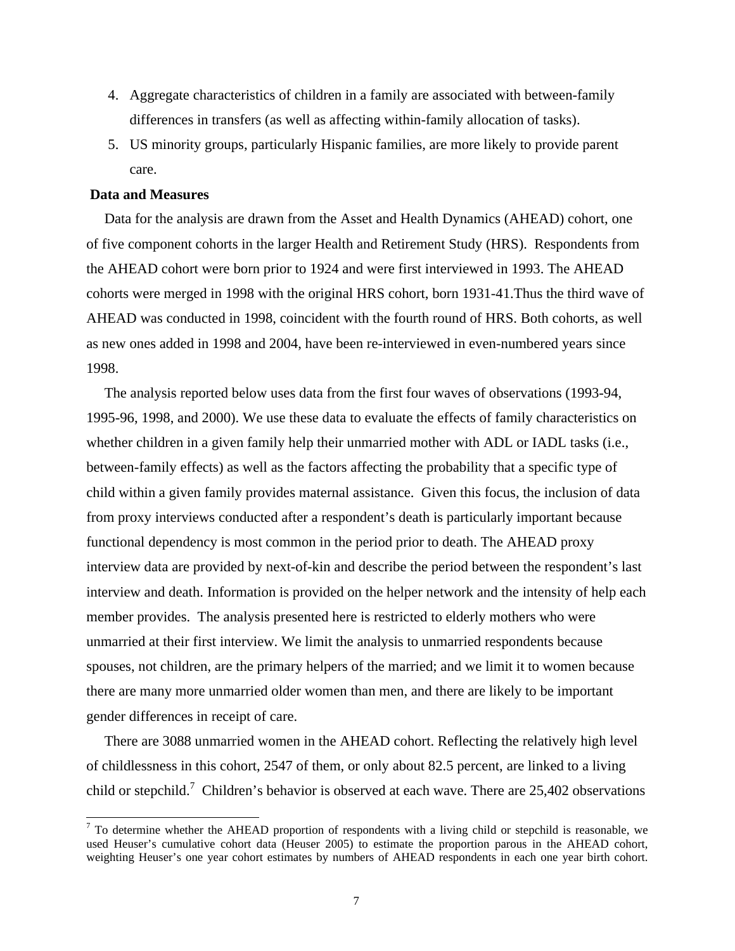- 4. Aggregate characteristics of children in a family are associated with between-family differences in transfers (as well as affecting within-family allocation of tasks).
- 5. US minority groups, particularly Hispanic families, are more likely to provide parent care.

#### **Data and Measures**

1

Data for the analysis are drawn from the Asset and Health Dynamics (AHEAD) cohort, one of five component cohorts in the larger Health and Retirement Study (HRS). Respondents from the AHEAD cohort were born prior to 1924 and were first interviewed in 1993. The AHEAD cohorts were merged in 1998 with the original HRS cohort, born 1931-41.Thus the third wave of AHEAD was conducted in 1998, coincident with the fourth round of HRS. Both cohorts, as well as new ones added in 1998 and 2004, have been re-interviewed in even-numbered years since 1998.

The analysis reported below uses data from the first four waves of observations (1993-94, 1995-96, 1998, and 2000). We use these data to evaluate the effects of family characteristics on whether children in a given family help their unmarried mother with ADL or IADL tasks (i.e., between-family effects) as well as the factors affecting the probability that a specific type of child within a given family provides maternal assistance. Given this focus, the inclusion of data from proxy interviews conducted after a respondent's death is particularly important because functional dependency is most common in the period prior to death. The AHEAD proxy interview data are provided by next-of-kin and describe the period between the respondent's last interview and death. Information is provided on the helper network and the intensity of help each member provides. The analysis presented here is restricted to elderly mothers who were unmarried at their first interview. We limit the analysis to unmarried respondents because spouses, not children, are the primary helpers of the married; and we limit it to women because there are many more unmarried older women than men, and there are likely to be important gender differences in receipt of care.

There are 3088 unmarried women in the AHEAD cohort. Reflecting the relatively high level of childlessness in this cohort, 2547 of them, or only about 82.5 percent, are linked to a living child or stepchild.<sup>7</sup> Children's behavior is observed at each wave. There are  $25,402$  observations

 $<sup>7</sup>$  To determine whether the AHEAD proportion of respondents with a living child or stepchild is reasonable, we</sup> used Heuser's cumulative cohort data (Heuser 2005) to estimate the proportion parous in the AHEAD cohort, weighting Heuser's one year cohort estimates by numbers of AHEAD respondents in each one year birth cohort.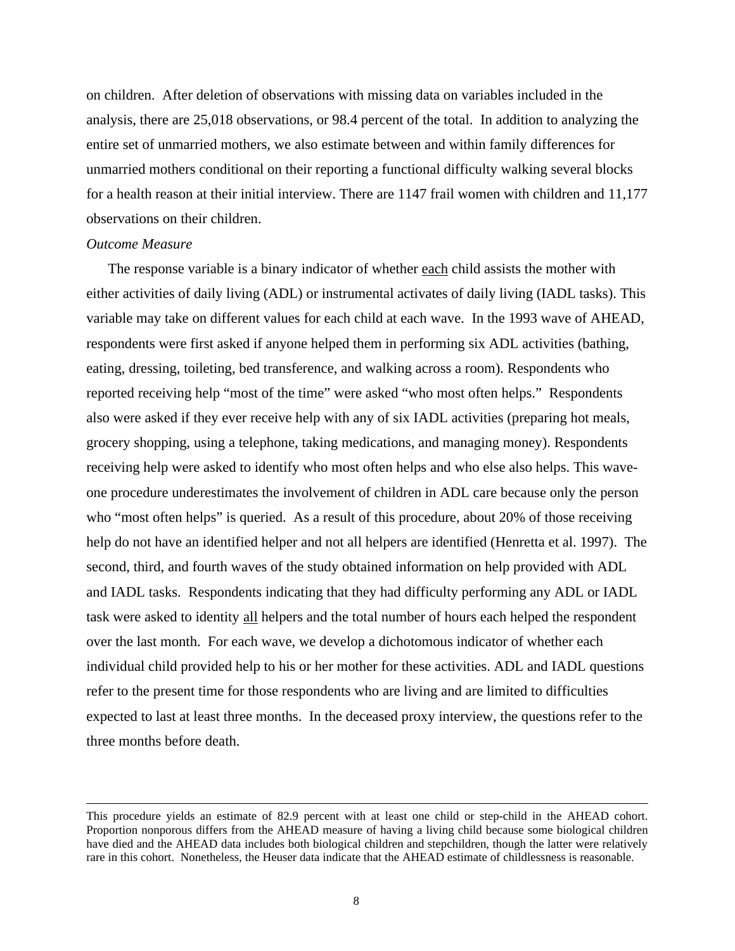on children. After deletion of observations with missing data on variables included in the analysis, there are 25,018 observations, or 98.4 percent of the total. In addition to analyzing the entire set of unmarried mothers, we also estimate between and within family differences for unmarried mothers conditional on their reporting a functional difficulty walking several blocks for a health reason at their initial interview. There are 1147 frail women with children and 11,177 observations on their children.

#### *Outcome Measure*

l

The response variable is a binary indicator of whether each child assists the mother with either activities of daily living (ADL) or instrumental activates of daily living (IADL tasks). This variable may take on different values for each child at each wave. In the 1993 wave of AHEAD, respondents were first asked if anyone helped them in performing six ADL activities (bathing, eating, dressing, toileting, bed transference, and walking across a room). Respondents who reported receiving help "most of the time" were asked "who most often helps." Respondents also were asked if they ever receive help with any of six IADL activities (preparing hot meals, grocery shopping, using a telephone, taking medications, and managing money). Respondents receiving help were asked to identify who most often helps and who else also helps. This waveone procedure underestimates the involvement of children in ADL care because only the person who "most often helps" is queried. As a result of this procedure, about 20% of those receiving help do not have an identified helper and not all helpers are identified (Henretta et al. 1997). The second, third, and fourth waves of the study obtained information on help provided with ADL and IADL tasks. Respondents indicating that they had difficulty performing any ADL or IADL task were asked to identity all helpers and the total number of hours each helped the respondent over the last month. For each wave, we develop a dichotomous indicator of whether each individual child provided help to his or her mother for these activities. ADL and IADL questions refer to the present time for those respondents who are living and are limited to difficulties expected to last at least three months. In the deceased proxy interview, the questions refer to the three months before death.

This procedure yields an estimate of 82.9 percent with at least one child or step-child in the AHEAD cohort. Proportion nonporous differs from the AHEAD measure of having a living child because some biological children have died and the AHEAD data includes both biological children and stepchildren, though the latter were relatively rare in this cohort. Nonetheless, the Heuser data indicate that the AHEAD estimate of childlessness is reasonable.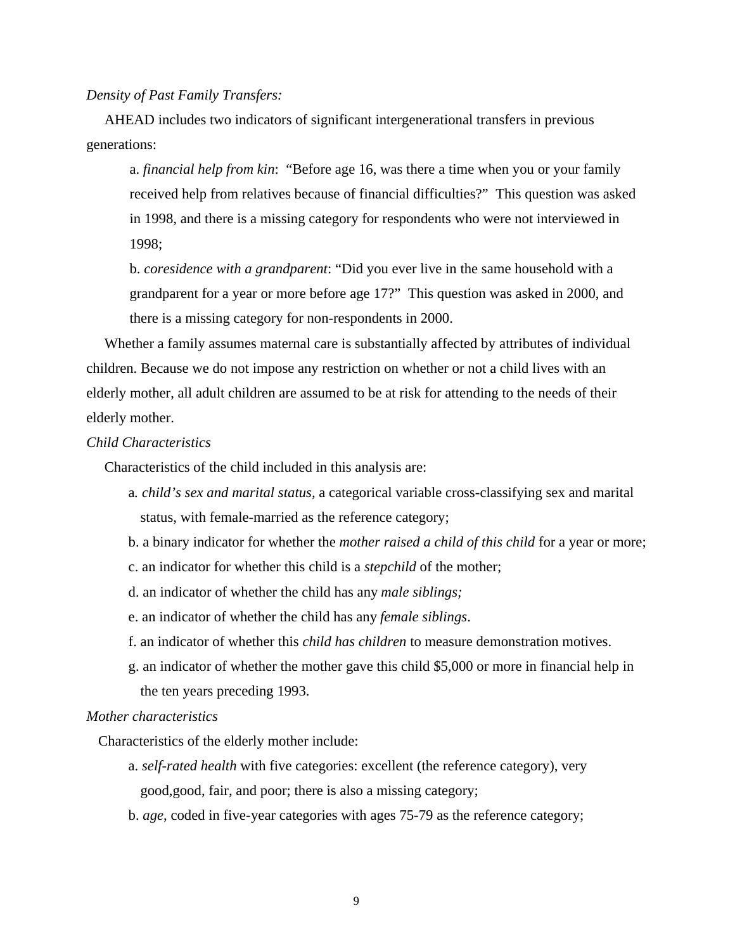*Density of Past Family Transfers:*

AHEAD includes two indicators of significant intergenerational transfers in previous generations:

a. *financial help from kin*: "Before age 16, was there a time when you or your family received help from relatives because of financial difficulties?" This question was asked in 1998, and there is a missing category for respondents who were not interviewed in 1998;

b. *coresidence with a grandparent*: "Did you ever live in the same household with a grandparent for a year or more before age 17?" This question was asked in 2000, and there is a missing category for non-respondents in 2000.

Whether a family assumes maternal care is substantially affected by attributes of individual children. Because we do not impose any restriction on whether or not a child lives with an elderly mother, all adult children are assumed to be at risk for attending to the needs of their elderly mother.

### *Child Characteristics*

Characteristics of the child included in this analysis are:

- a*. child's sex and marital status,* a categorical variable cross-classifying sex and marital status, with female-married as the reference category;
- b. a binary indicator for whether the *mother raised a child of this child* for a year or more;
- c. an indicator for whether this child is a *stepchild* of the mother;
- d. an indicator of whether the child has any *male siblings;*
- e. an indicator of whether the child has any *female siblings*.
- f. an indicator of whether this *child has children* to measure demonstration motives.
- g. an indicator of whether the mother gave this child \$5,000 or more in financial help in the ten years preceding 1993.

## *Mother characteristics*

Characteristics of the elderly mother include:

- a. *self-rated health* with five categories: excellent (the reference category), very good,good, fair, and poor; there is also a missing category;
- b. *age*, coded in five-year categories with ages 75-79 as the reference category;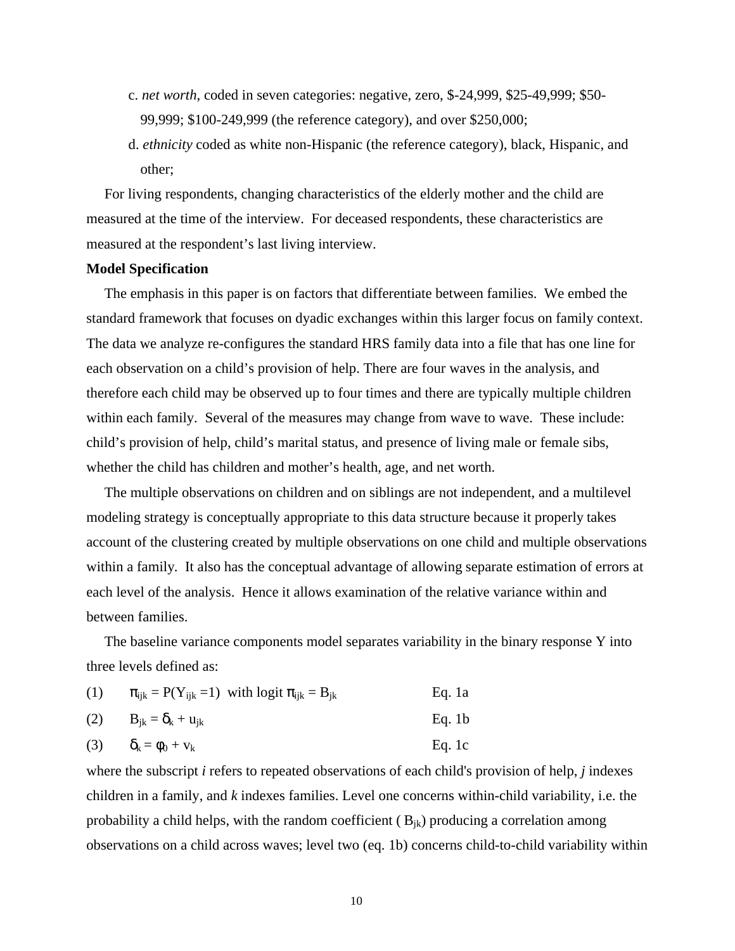- c. *net worth*, coded in seven categories: negative, zero, \$-24,999, \$25-49,999; \$50- 99,999; \$100-249,999 (the reference category), and over \$250,000;
- d. *ethnicity* coded as white non-Hispanic (the reference category), black, Hispanic, and other;

For living respondents, changing characteristics of the elderly mother and the child are measured at the time of the interview. For deceased respondents, these characteristics are measured at the respondent's last living interview.

#### **Model Specification**

The emphasis in this paper is on factors that differentiate between families. We embed the standard framework that focuses on dyadic exchanges within this larger focus on family context. The data we analyze re-configures the standard HRS family data into a file that has one line for each observation on a child's provision of help. There are four waves in the analysis, and therefore each child may be observed up to four times and there are typically multiple children within each family. Several of the measures may change from wave to wave. These include: child's provision of help, child's marital status, and presence of living male or female sibs, whether the child has children and mother's health, age, and net worth.

The multiple observations on children and on siblings are not independent, and a multilevel modeling strategy is conceptually appropriate to this data structure because it properly takes account of the clustering created by multiple observations on one child and multiple observations within a family. It also has the conceptual advantage of allowing separate estimation of errors at each level of the analysis. Hence it allows examination of the relative variance within and between families.

The baseline variance components model separates variability in the binary response Y into three levels defined as:

| (1) | $\pi_{ijk} = P(Y_{ijk} = 1)$ with logit $\pi_{ijk} = B_{jk}$ | Eq. 1a |
|-----|--------------------------------------------------------------|--------|
| (2) | $B_{jk} = \delta_k + u_{jk}$                                 | Eq. 1b |
| (3) | $\delta_k = \phi_0 + v_k$                                    | Eq. 1c |

where the subscript *i* refers to repeated observations of each child's provision of help, *j* indexes children in a family, and *k* indexes families. Level one concerns within-child variability, i.e. the probability a child helps, with the random coefficient  $(B_{ik})$  producing a correlation among observations on a child across waves; level two (eq. 1b) concerns child-to-child variability within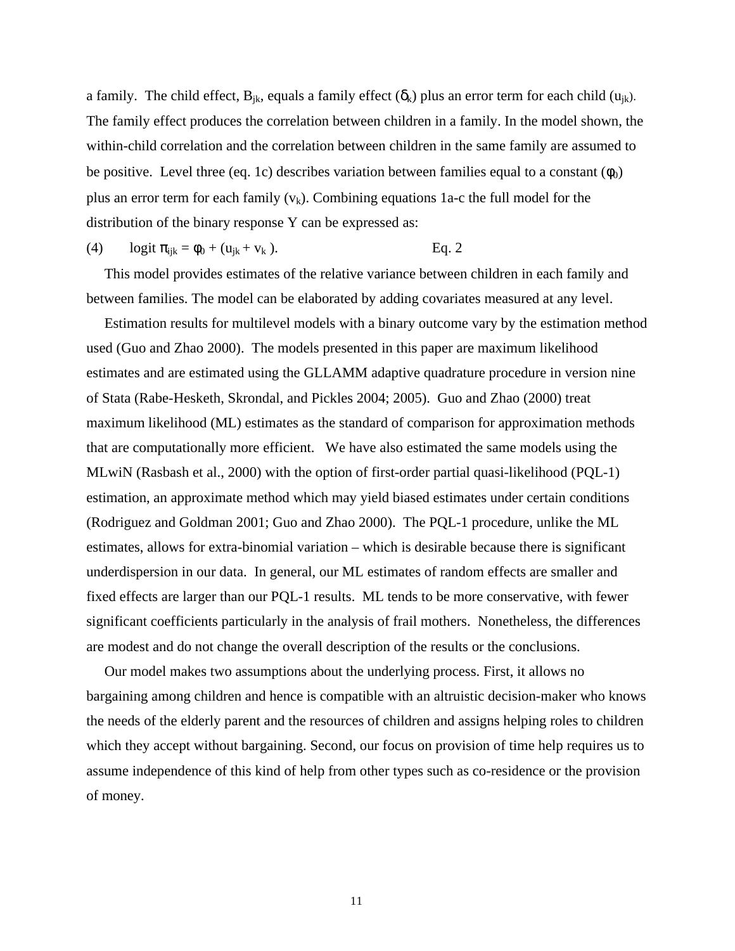a family. The child effect,  $B_{jk}$ , equals a family effect  $(\delta_k)$  plus an error term for each child  $(u_{ik})$ . The family effect produces the correlation between children in a family. In the model shown, the within-child correlation and the correlation between children in the same family are assumed to be positive. Level three (eq. 1c) describes variation between families equal to a constant  $(\phi_0)$ plus an error term for each family  $(v_k)$ . Combining equations 1a-c the full model for the distribution of the binary response Y can be expressed as:

(4) 
$$
\text{logit } \pi_{ijk} = \phi_0 + (u_{jk} + v_k).
$$
 Eq. 2

This model provides estimates of the relative variance between children in each family and between families. The model can be elaborated by adding covariates measured at any level.

Estimation results for multilevel models with a binary outcome vary by the estimation method used (Guo and Zhao 2000). The models presented in this paper are maximum likelihood estimates and are estimated using the GLLAMM adaptive quadrature procedure in version nine of Stata (Rabe-Hesketh, Skrondal, and Pickles 2004; 2005). Guo and Zhao (2000) treat maximum likelihood (ML) estimates as the standard of comparison for approximation methods that are computationally more efficient. We have also estimated the same models using the MLwiN (Rasbash et al., 2000) with the option of first-order partial quasi-likelihood (PQL-1) estimation, an approximate method which may yield biased estimates under certain conditions (Rodriguez and Goldman 2001; Guo and Zhao 2000). The PQL-1 procedure, unlike the ML estimates, allows for extra-binomial variation – which is desirable because there is significant underdispersion in our data. In general, our ML estimates of random effects are smaller and fixed effects are larger than our PQL-1 results. ML tends to be more conservative, with fewer significant coefficients particularly in the analysis of frail mothers. Nonetheless, the differences are modest and do not change the overall description of the results or the conclusions.

Our model makes two assumptions about the underlying process. First, it allows no bargaining among children and hence is compatible with an altruistic decision-maker who knows the needs of the elderly parent and the resources of children and assigns helping roles to children which they accept without bargaining. Second, our focus on provision of time help requires us to assume independence of this kind of help from other types such as co-residence or the provision of money.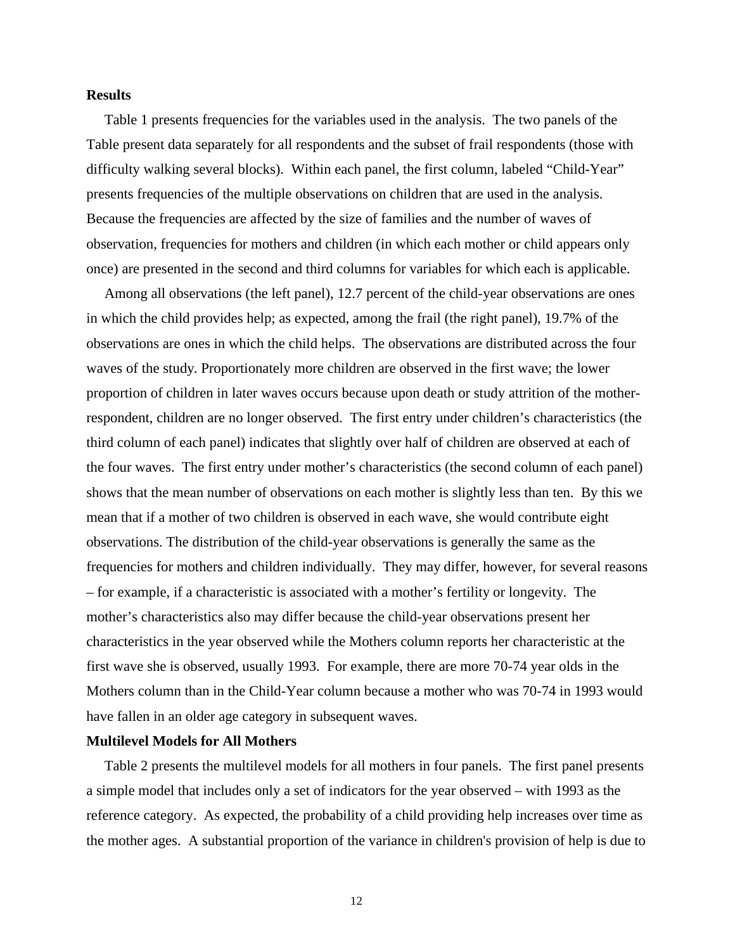#### **Results**

Table 1 presents frequencies for the variables used in the analysis. The two panels of the Table present data separately for all respondents and the subset of frail respondents (those with difficulty walking several blocks). Within each panel, the first column, labeled "Child-Year" presents frequencies of the multiple observations on children that are used in the analysis. Because the frequencies are affected by the size of families and the number of waves of observation, frequencies for mothers and children (in which each mother or child appears only once) are presented in the second and third columns for variables for which each is applicable.

Among all observations (the left panel), 12.7 percent of the child-year observations are ones in which the child provides help; as expected, among the frail (the right panel), 19.7% of the observations are ones in which the child helps. The observations are distributed across the four waves of the study. Proportionately more children are observed in the first wave; the lower proportion of children in later waves occurs because upon death or study attrition of the motherrespondent, children are no longer observed. The first entry under children's characteristics (the third column of each panel) indicates that slightly over half of children are observed at each of the four waves. The first entry under mother's characteristics (the second column of each panel) shows that the mean number of observations on each mother is slightly less than ten. By this we mean that if a mother of two children is observed in each wave, she would contribute eight observations. The distribution of the child-year observations is generally the same as the frequencies for mothers and children individually. They may differ, however, for several reasons – for example, if a characteristic is associated with a mother's fertility or longevity. The mother's characteristics also may differ because the child-year observations present her characteristics in the year observed while the Mothers column reports her characteristic at the first wave she is observed, usually 1993. For example, there are more 70-74 year olds in the Mothers column than in the Child-Year column because a mother who was 70-74 in 1993 would have fallen in an older age category in subsequent waves.

#### **Multilevel Models for All Mothers**

Table 2 presents the multilevel models for all mothers in four panels. The first panel presents a simple model that includes only a set of indicators for the year observed – with 1993 as the reference category. As expected, the probability of a child providing help increases over time as the mother ages. A substantial proportion of the variance in children's provision of help is due to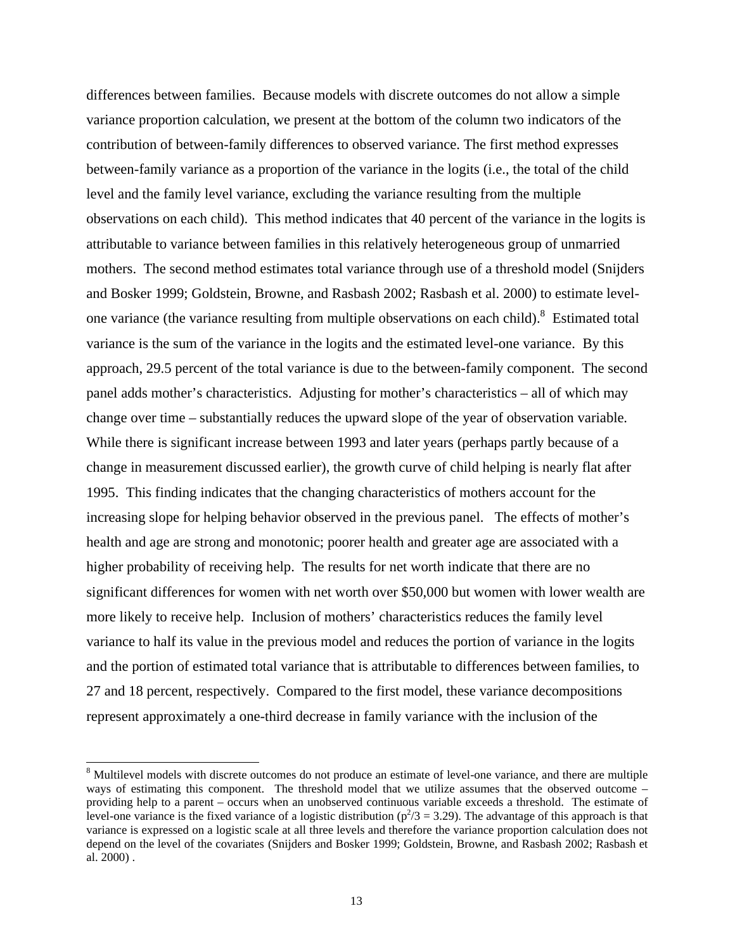differences between families. Because models with discrete outcomes do not allow a simple variance proportion calculation, we present at the bottom of the column two indicators of the contribution of between-family differences to observed variance. The first method expresses between-family variance as a proportion of the variance in the logits (i.e., the total of the child level and the family level variance, excluding the variance resulting from the multiple observations on each child). This method indicates that 40 percent of the variance in the logits is attributable to variance between families in this relatively heterogeneous group of unmarried mothers. The second method estimates total variance through use of a threshold model (Snijders and Bosker 1999; Goldstein, Browne, and Rasbash 2002; Rasbash et al. 2000) to estimate levelone variance (the variance resulting from multiple observations on each child).<sup>8</sup> Estimated total variance is the sum of the variance in the logits and the estimated level-one variance. By this approach, 29.5 percent of the total variance is due to the between-family component. The second panel adds mother's characteristics. Adjusting for mother's characteristics – all of which may change over time – substantially reduces the upward slope of the year of observation variable. While there is significant increase between 1993 and later years (perhaps partly because of a change in measurement discussed earlier), the growth curve of child helping is nearly flat after 1995. This finding indicates that the changing characteristics of mothers account for the increasing slope for helping behavior observed in the previous panel. The effects of mother's health and age are strong and monotonic; poorer health and greater age are associated with a higher probability of receiving help. The results for net worth indicate that there are no significant differences for women with net worth over \$50,000 but women with lower wealth are more likely to receive help. Inclusion of mothers' characteristics reduces the family level variance to half its value in the previous model and reduces the portion of variance in the logits and the portion of estimated total variance that is attributable to differences between families, to 27 and 18 percent, respectively. Compared to the first model, these variance decompositions represent approximately a one-third decrease in family variance with the inclusion of the

<sup>&</sup>lt;sup>8</sup> Multilevel models with discrete outcomes do not produce an estimate of level-one variance, and there are multiple ways of estimating this component. The threshold model that we utilize assumes that the observed outcome – providing help to a parent – occurs when an unobserved continuous variable exceeds a threshold. The estimate of level-one variance is the fixed variance of a logistic distribution ( $p^2/3$  = 3.29). The advantage of this approach is that variance is expressed on a logistic scale at all three levels and therefore the variance proportion calculation does not depend on the level of the covariates (Snijders and Bosker 1999; Goldstein, Browne, and Rasbash 2002; Rasbash et al. 2000) .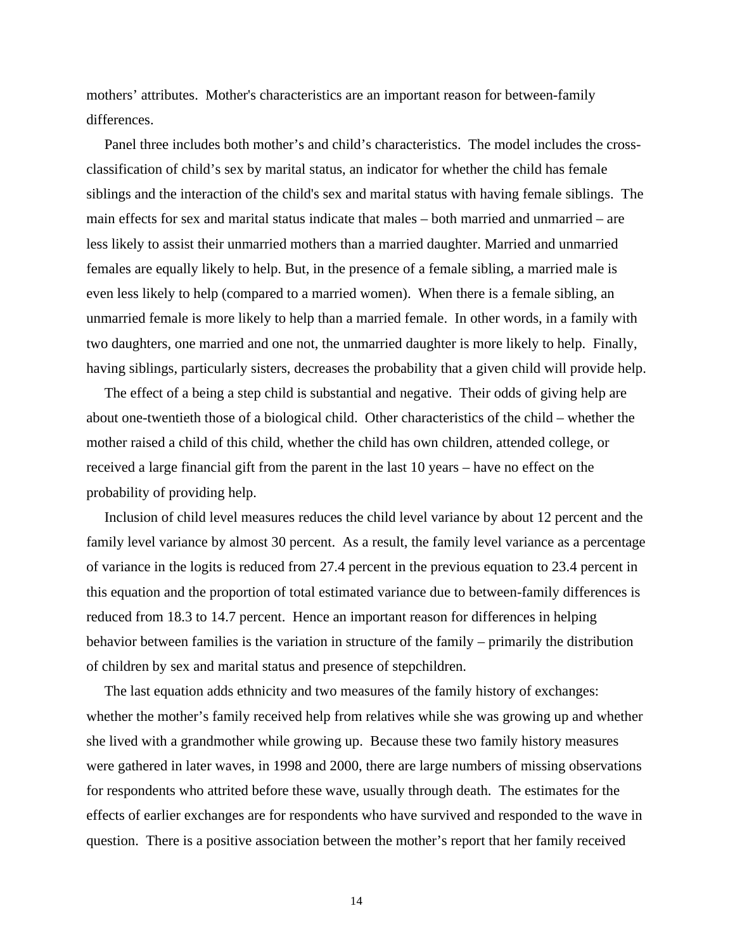mothers' attributes. Mother's characteristics are an important reason for between-family differences.

Panel three includes both mother's and child's characteristics. The model includes the crossclassification of child's sex by marital status, an indicator for whether the child has female siblings and the interaction of the child's sex and marital status with having female siblings. The main effects for sex and marital status indicate that males – both married and unmarried – are less likely to assist their unmarried mothers than a married daughter. Married and unmarried females are equally likely to help. But, in the presence of a female sibling, a married male is even less likely to help (compared to a married women). When there is a female sibling, an unmarried female is more likely to help than a married female. In other words, in a family with two daughters, one married and one not, the unmarried daughter is more likely to help. Finally, having siblings, particularly sisters, decreases the probability that a given child will provide help.

The effect of a being a step child is substantial and negative. Their odds of giving help are about one-twentieth those of a biological child. Other characteristics of the child – whether the mother raised a child of this child, whether the child has own children, attended college, or received a large financial gift from the parent in the last 10 years – have no effect on the probability of providing help.

Inclusion of child level measures reduces the child level variance by about 12 percent and the family level variance by almost 30 percent. As a result, the family level variance as a percentage of variance in the logits is reduced from 27.4 percent in the previous equation to 23.4 percent in this equation and the proportion of total estimated variance due to between-family differences is reduced from 18.3 to 14.7 percent. Hence an important reason for differences in helping behavior between families is the variation in structure of the family – primarily the distribution of children by sex and marital status and presence of stepchildren.

The last equation adds ethnicity and two measures of the family history of exchanges: whether the mother's family received help from relatives while she was growing up and whether she lived with a grandmother while growing up. Because these two family history measures were gathered in later waves, in 1998 and 2000, there are large numbers of missing observations for respondents who attrited before these wave, usually through death. The estimates for the effects of earlier exchanges are for respondents who have survived and responded to the wave in question. There is a positive association between the mother's report that her family received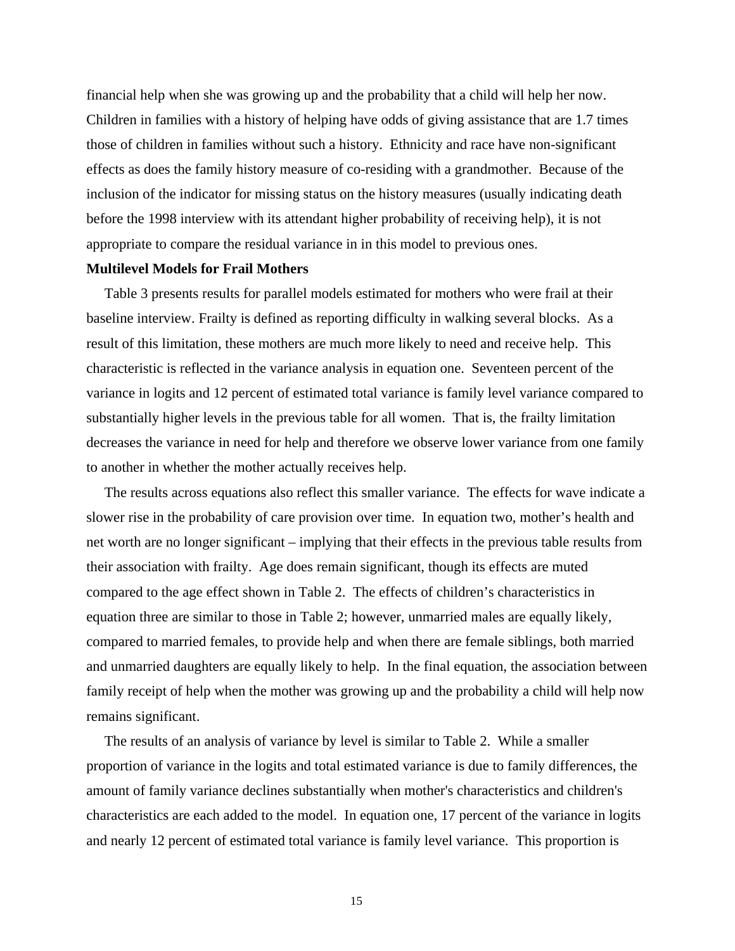financial help when she was growing up and the probability that a child will help her now. Children in families with a history of helping have odds of giving assistance that are 1.7 times those of children in families without such a history. Ethnicity and race have non-significant effects as does the family history measure of co-residing with a grandmother. Because of the inclusion of the indicator for missing status on the history measures (usually indicating death before the 1998 interview with its attendant higher probability of receiving help), it is not appropriate to compare the residual variance in in this model to previous ones.

#### **Multilevel Models for Frail Mothers**

Table 3 presents results for parallel models estimated for mothers who were frail at their baseline interview. Frailty is defined as reporting difficulty in walking several blocks. As a result of this limitation, these mothers are much more likely to need and receive help. This characteristic is reflected in the variance analysis in equation one. Seventeen percent of the variance in logits and 12 percent of estimated total variance is family level variance compared to substantially higher levels in the previous table for all women. That is, the frailty limitation decreases the variance in need for help and therefore we observe lower variance from one family to another in whether the mother actually receives help.

The results across equations also reflect this smaller variance. The effects for wave indicate a slower rise in the probability of care provision over time. In equation two, mother's health and net worth are no longer significant – implying that their effects in the previous table results from their association with frailty. Age does remain significant, though its effects are muted compared to the age effect shown in Table 2. The effects of children's characteristics in equation three are similar to those in Table 2; however, unmarried males are equally likely, compared to married females, to provide help and when there are female siblings, both married and unmarried daughters are equally likely to help. In the final equation, the association between family receipt of help when the mother was growing up and the probability a child will help now remains significant.

The results of an analysis of variance by level is similar to Table 2. While a smaller proportion of variance in the logits and total estimated variance is due to family differences, the amount of family variance declines substantially when mother's characteristics and children's characteristics are each added to the model. In equation one, 17 percent of the variance in logits and nearly 12 percent of estimated total variance is family level variance. This proportion is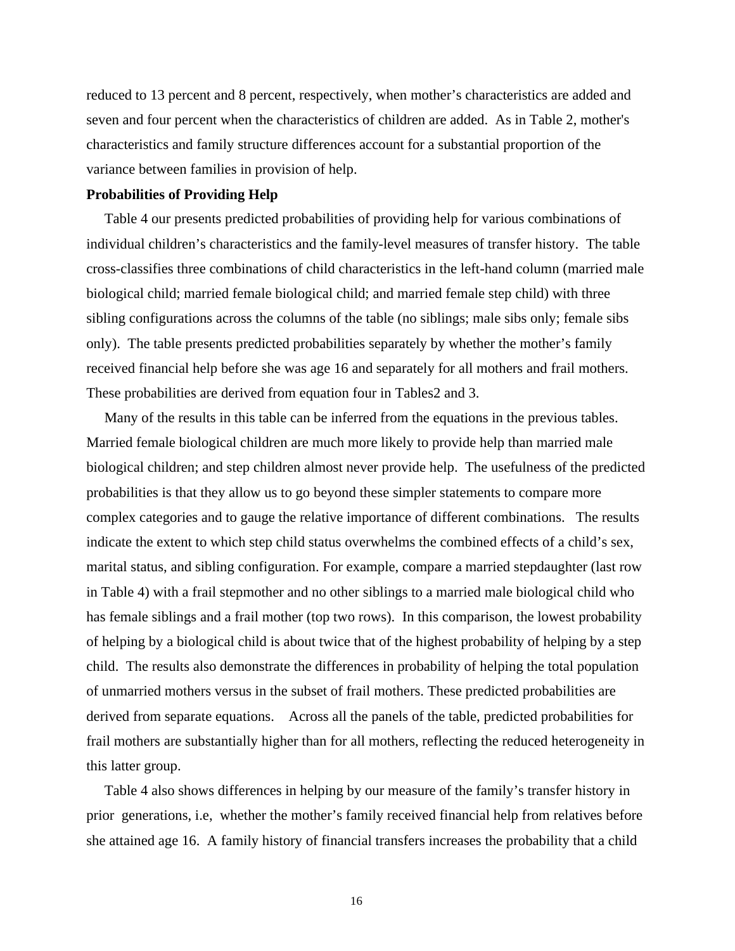reduced to 13 percent and 8 percent, respectively, when mother's characteristics are added and seven and four percent when the characteristics of children are added. As in Table 2, mother's characteristics and family structure differences account for a substantial proportion of the variance between families in provision of help.

#### **Probabilities of Providing Help**

Table 4 our presents predicted probabilities of providing help for various combinations of individual children's characteristics and the family-level measures of transfer history. The table cross-classifies three combinations of child characteristics in the left-hand column (married male biological child; married female biological child; and married female step child) with three sibling configurations across the columns of the table (no siblings; male sibs only; female sibs only). The table presents predicted probabilities separately by whether the mother's family received financial help before she was age 16 and separately for all mothers and frail mothers. These probabilities are derived from equation four in Tables2 and 3.

Many of the results in this table can be inferred from the equations in the previous tables. Married female biological children are much more likely to provide help than married male biological children; and step children almost never provide help. The usefulness of the predicted probabilities is that they allow us to go beyond these simpler statements to compare more complex categories and to gauge the relative importance of different combinations. The results indicate the extent to which step child status overwhelms the combined effects of a child's sex, marital status, and sibling configuration. For example, compare a married stepdaughter (last row in Table 4) with a frail stepmother and no other siblings to a married male biological child who has female siblings and a frail mother (top two rows). In this comparison, the lowest probability of helping by a biological child is about twice that of the highest probability of helping by a step child. The results also demonstrate the differences in probability of helping the total population of unmarried mothers versus in the subset of frail mothers. These predicted probabilities are derived from separate equations. Across all the panels of the table, predicted probabilities for frail mothers are substantially higher than for all mothers, reflecting the reduced heterogeneity in this latter group.

Table 4 also shows differences in helping by our measure of the family's transfer history in prior generations, i.e, whether the mother's family received financial help from relatives before she attained age 16. A family history of financial transfers increases the probability that a child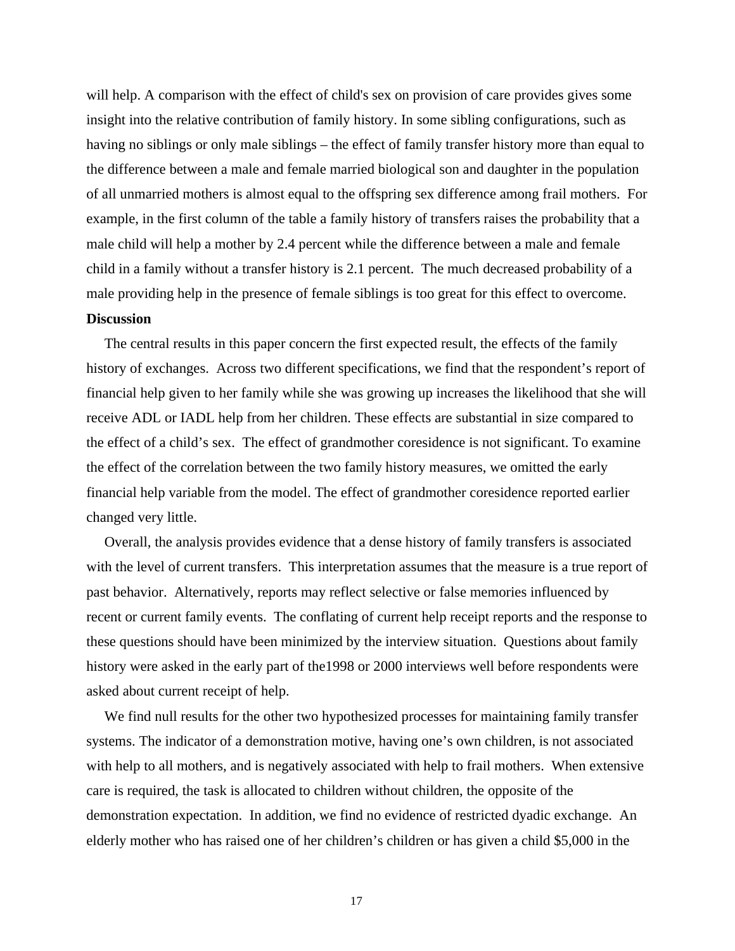will help. A comparison with the effect of child's sex on provision of care provides gives some insight into the relative contribution of family history. In some sibling configurations, such as having no siblings or only male siblings – the effect of family transfer history more than equal to the difference between a male and female married biological son and daughter in the population of all unmarried mothers is almost equal to the offspring sex difference among frail mothers. For example, in the first column of the table a family history of transfers raises the probability that a male child will help a mother by 2.4 percent while the difference between a male and female child in a family without a transfer history is 2.1 percent. The much decreased probability of a male providing help in the presence of female siblings is too great for this effect to overcome. **Discussion** 

The central results in this paper concern the first expected result, the effects of the family history of exchanges. Across two different specifications, we find that the respondent's report of financial help given to her family while she was growing up increases the likelihood that she will receive ADL or IADL help from her children. These effects are substantial in size compared to the effect of a child's sex. The effect of grandmother coresidence is not significant. To examine the effect of the correlation between the two family history measures, we omitted the early financial help variable from the model. The effect of grandmother coresidence reported earlier changed very little.

Overall, the analysis provides evidence that a dense history of family transfers is associated with the level of current transfers. This interpretation assumes that the measure is a true report of past behavior. Alternatively, reports may reflect selective or false memories influenced by recent or current family events. The conflating of current help receipt reports and the response to these questions should have been minimized by the interview situation. Questions about family history were asked in the early part of the1998 or 2000 interviews well before respondents were asked about current receipt of help.

We find null results for the other two hypothesized processes for maintaining family transfer systems. The indicator of a demonstration motive, having one's own children, is not associated with help to all mothers, and is negatively associated with help to frail mothers. When extensive care is required, the task is allocated to children without children, the opposite of the demonstration expectation. In addition, we find no evidence of restricted dyadic exchange. An elderly mother who has raised one of her children's children or has given a child \$5,000 in the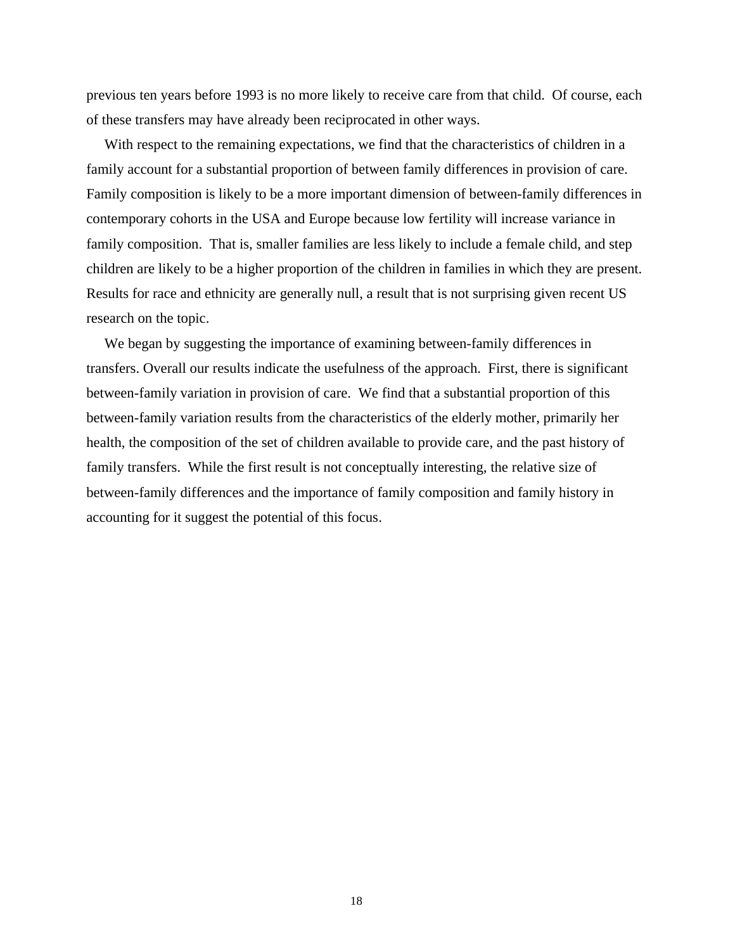previous ten years before 1993 is no more likely to receive care from that child. Of course, each of these transfers may have already been reciprocated in other ways.

With respect to the remaining expectations, we find that the characteristics of children in a family account for a substantial proportion of between family differences in provision of care. Family composition is likely to be a more important dimension of between-family differences in contemporary cohorts in the USA and Europe because low fertility will increase variance in family composition. That is, smaller families are less likely to include a female child, and step children are likely to be a higher proportion of the children in families in which they are present. Results for race and ethnicity are generally null, a result that is not surprising given recent US research on the topic.

We began by suggesting the importance of examining between-family differences in transfers. Overall our results indicate the usefulness of the approach. First, there is significant between-family variation in provision of care. We find that a substantial proportion of this between-family variation results from the characteristics of the elderly mother, primarily her health, the composition of the set of children available to provide care, and the past history of family transfers. While the first result is not conceptually interesting, the relative size of between-family differences and the importance of family composition and family history in accounting for it suggest the potential of this focus.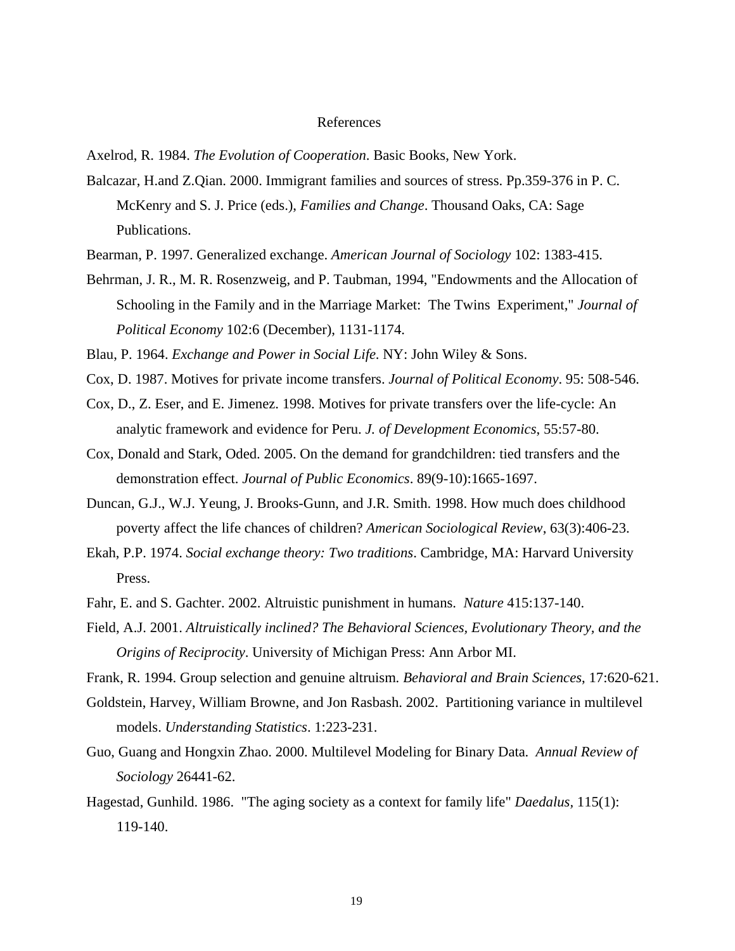#### References

Axelrod, R. 1984. *The Evolution of Cooperation*. Basic Books, New York.

- Balcazar, H.and Z.Qian. 2000. Immigrant families and sources of stress. Pp.359-376 in P. C. McKenry and S. J. Price (eds.), *Families and Change*. Thousand Oaks, CA: Sage Publications.
- Bearman, P. 1997. Generalized exchange. *American Journal of Sociology* 102: 1383-415.
- Behrman, J. R., M. R. Rosenzweig, and P. Taubman, 1994, "Endowments and the Allocation of Schooling in the Family and in the Marriage Market: The Twins Experiment," *Journal of Political Economy* 102:6 (December), 1131-1174.
- Blau, P. 1964. *Exchange and Power in Social Life*. NY: John Wiley & Sons.
- Cox, D. 1987. Motives for private income transfers. *Journal of Political Economy*. 95: 508-546.
- Cox, D., Z. Eser, and E. Jimenez. 1998. Motives for private transfers over the life-cycle: An analytic framework and evidence for Peru. *J. of Development Economics*, 55:57-80.
- Cox, Donald and Stark, Oded. 2005. On the demand for grandchildren: tied transfers and the demonstration effect. *Journal of Public Economics*. 89(9-10):1665-1697.
- Duncan, G.J., W.J. Yeung, J. Brooks-Gunn, and J.R. Smith. 1998. How much does childhood poverty affect the life chances of children? *American Sociological Review*, 63(3):406-23.
- Ekah, P.P. 1974. *Social exchange theory: Two traditions*. Cambridge, MA: Harvard University Press.
- Fahr, E. and S. Gachter. 2002. Altruistic punishment in humans. *Nature* 415:137-140.
- Field, A.J. 2001. *Altruistically inclined? The Behavioral Sciences, Evolutionary Theory, and the Origins of Reciprocity*. University of Michigan Press: Ann Arbor MI.
- Frank, R. 1994. Group selection and genuine altruism*. Behavioral and Brain Sciences*, 17:620-621.
- Goldstein, Harvey, William Browne, and Jon Rasbash. 2002. Partitioning variance in multilevel models. *Understanding Statistics*. 1:223-231.
- Guo, Guang and Hongxin Zhao. 2000. Multilevel Modeling for Binary Data. *Annual Review of Sociology* 26441-62.
- Hagestad, Gunhild. 1986. "The aging society as a context for family life" *Daedalus,* 115(1): 119-140.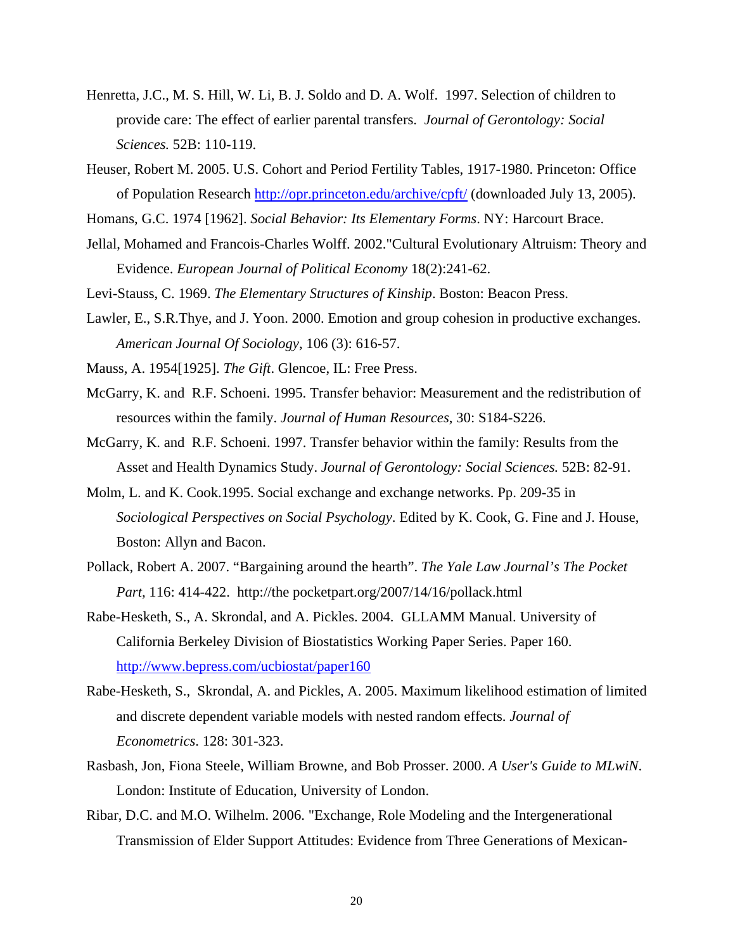- Henretta, J.C., M. S. Hill, W. Li, B. J. Soldo and D. A. Wolf. 1997. Selection of children to provide care: The effect of earlier parental transfers. *Journal of Gerontology: Social Sciences.* 52B: 110-119.
- Heuser, Robert M. 2005. U.S. Cohort and Period Fertility Tables, 1917-1980. Princeton: Office of Population Research http://opr.princeton.edu/archive/cpft/ (downloaded July 13, 2005).

Homans, G.C. 1974 [1962]. *Social Behavior: Its Elementary Forms*. NY: Harcourt Brace.

Jellal, Mohamed and Francois-Charles Wolff. 2002."Cultural Evolutionary Altruism: Theory and Evidence. *European Journal of Political Economy* 18(2):241-62.

Levi-Stauss, C. 1969. *The Elementary Structures of Kinship*. Boston: Beacon Press.

- Lawler, E., S.R.Thye, and J. Yoon. 2000. Emotion and group cohesion in productive exchanges. *American Journal Of Sociology*, 106 (3): 616-57.
- Mauss, A. 1954[1925]. *The Gift*. Glencoe, IL: Free Press.
- McGarry, K. and R.F. Schoeni. 1995. Transfer behavior: Measurement and the redistribution of resources within the family. *Journal of Human Resources*, 30: S184-S226.
- McGarry, K. and R.F. Schoeni. 1997. Transfer behavior within the family: Results from the Asset and Health Dynamics Study. *Journal of Gerontology: Social Sciences.* 52B: 82-91.
- Molm, L. and K. Cook.1995. Social exchange and exchange networks. Pp. 209-35 in *Sociological Perspectives on Social Psychology*. Edited by K. Cook, G. Fine and J. House, Boston: Allyn and Bacon.
- Pollack, Robert A. 2007. "Bargaining around the hearth". *The Yale Law Journal's The Pocket Part,* 116: 414-422. http://the pocketpart.org/2007/14/16/pollack.html
- Rabe-Hesketh, S., A. Skrondal, and A. Pickles. 2004. GLLAMM Manual. University of California Berkeley Division of Biostatistics Working Paper Series. Paper 160. http://www.bepress.com/ucbiostat/paper160
- Rabe-Hesketh, S., Skrondal, A. and Pickles, A. 2005. Maximum likelihood estimation of limited and discrete dependent variable models with nested random effects. *Journal of Econometrics*. 128: 301-323.
- Rasbash, Jon, Fiona Steele, William Browne, and Bob Prosser. 2000. *A User's Guide to MLwiN*. London: Institute of Education, University of London.
- Ribar, D.C. and M.O. Wilhelm. 2006. "Exchange, Role Modeling and the Intergenerational Transmission of Elder Support Attitudes: Evidence from Three Generations of Mexican-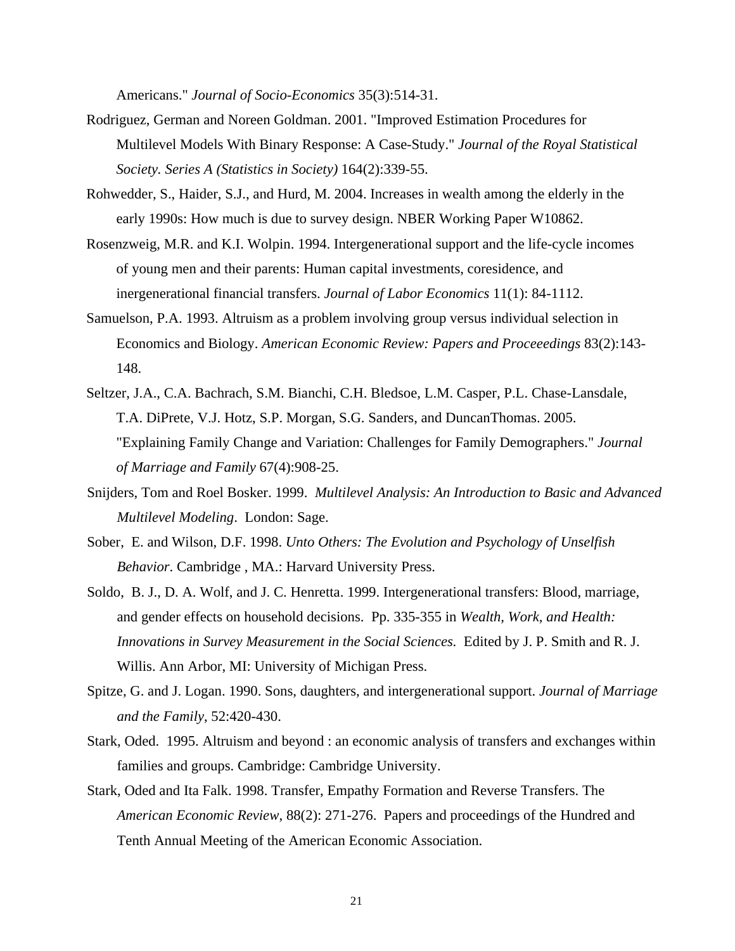Americans." *Journal of Socio-Economics* 35(3):514-31.

- Rodriguez, German and Noreen Goldman. 2001. "Improved Estimation Procedures for Multilevel Models With Binary Response: A Case-Study." *Journal of the Royal Statistical Society. Series A (Statistics in Society)* 164(2):339-55.
- Rohwedder, S., Haider, S.J., and Hurd, M. 2004. Increases in wealth among the elderly in the early 1990s: How much is due to survey design. NBER Working Paper W10862.
- Rosenzweig, M.R. and K.I. Wolpin. 1994. Intergenerational support and the life-cycle incomes of young men and their parents: Human capital investments, coresidence, and inergenerational financial transfers. *Journal of Labor Economics* 11(1): 84-1112.
- Samuelson, P.A. 1993. Altruism as a problem involving group versus individual selection in Economics and Biology. *American Economic Review: Papers and Proceeedings* 83(2):143- 148.
- Seltzer, J.A., C.A. Bachrach, S.M. Bianchi, C.H. Bledsoe, L.M. Casper, P.L. Chase-Lansdale, T.A. DiPrete, V.J. Hotz, S.P. Morgan, S.G. Sanders, and DuncanThomas. 2005. "Explaining Family Change and Variation: Challenges for Family Demographers." *Journal of Marriage and Family* 67(4):908-25.
- Snijders, Tom and Roel Bosker. 1999. *Multilevel Analysis: An Introduction to Basic and Advanced Multilevel Modeling*. London: Sage.
- Sober, E. and Wilson, D.F. 1998. *Unto Others: The Evolution and Psychology of Unselfish Behavior*. Cambridge , MA.: Harvard University Press.
- Soldo, B. J., D. A. Wolf, and J. C. Henretta. 1999. Intergenerational transfers: Blood, marriage, and gender effects on household decisions. Pp. 335-355 in *Wealth, Work, and Health: Innovations in Survey Measurement in the Social Sciences.* Edited by J. P. Smith and R. J. Willis. Ann Arbor, MI: University of Michigan Press.
- Spitze, G. and J. Logan. 1990. Sons, daughters, and intergenerational support. *Journal of Marriage and the Family*, 52:420-430.
- Stark, Oded. 1995. Altruism and beyond : an economic analysis of transfers and exchanges within families and groups. Cambridge: Cambridge University.
- Stark, Oded and Ita Falk. 1998. Transfer, Empathy Formation and Reverse Transfers. The *American Economic Review*, 88(2): 271-276. Papers and proceedings of the Hundred and Tenth Annual Meeting of the American Economic Association.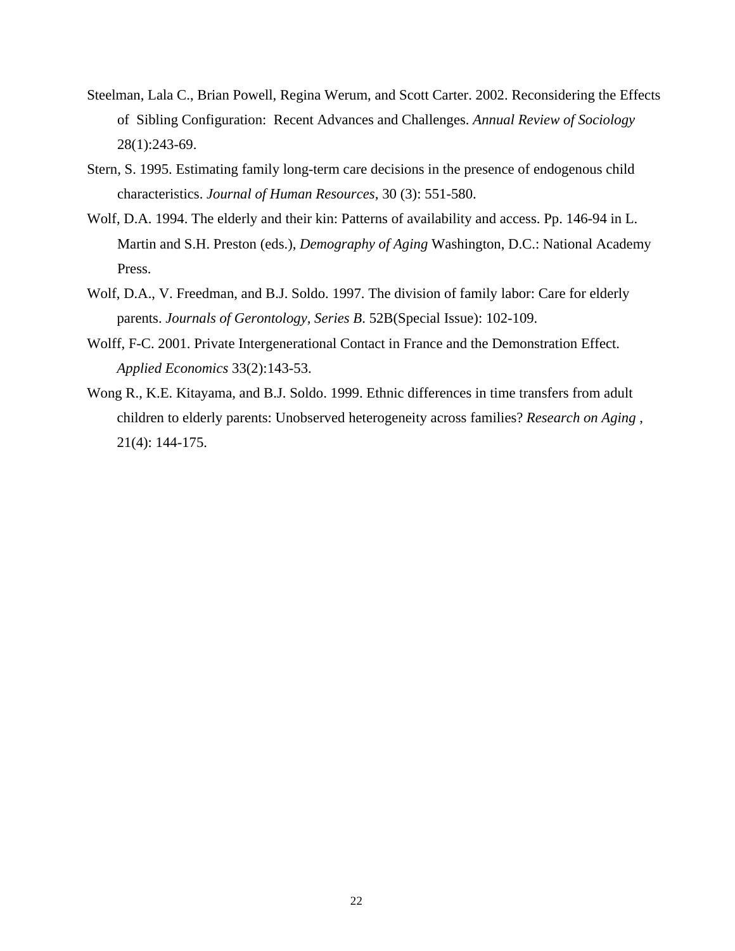- Steelman, Lala C., Brian Powell, Regina Werum, and Scott Carter. 2002. Reconsidering the Effects of Sibling Configuration: Recent Advances and Challenges. *Annual Review of Sociology* 28(1):243-69.
- Stern, S. 1995. Estimating family long-term care decisions in the presence of endogenous child characteristics. *Journal of Human Resources*, 30 (3): 551-580.
- Wolf, D.A. 1994. The elderly and their kin: Patterns of availability and access. Pp. 146-94 in L. Martin and S.H. Preston (eds.), *Demography of Aging* Washington, D.C.: National Academy Press.
- Wolf, D.A., V. Freedman, and B.J. Soldo. 1997. The division of family labor: Care for elderly parents. *Journals of Gerontology, Series B*. 52B(Special Issue): 102-109.
- Wolff, F-C. 2001. Private Intergenerational Contact in France and the Demonstration Effect. *Applied Economics* 33(2):143-53.
- Wong R., K.E. Kitayama, and B.J. Soldo. 1999. Ethnic differences in time transfers from adult children to elderly parents: Unobserved heterogeneity across families? *Research on Aging* , 21(4): 144-175.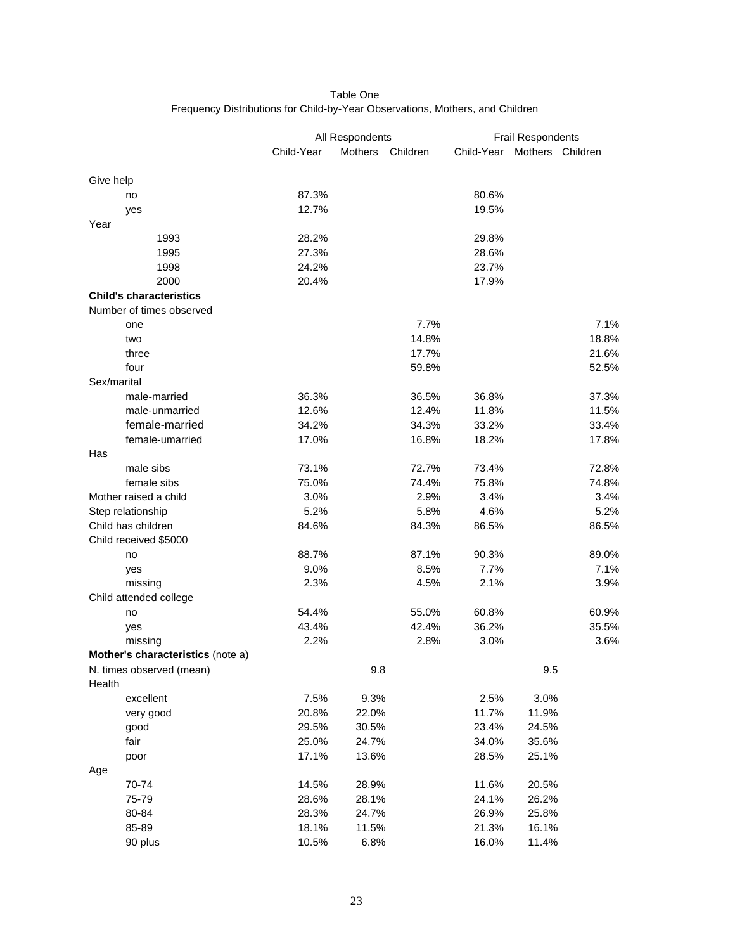#### Table One Frequency Distributions for Child-by-Year Observations, Mothers, and Children

|                                   |            | All Respondents |          |            | Frail Respondents |       |  |  |
|-----------------------------------|------------|-----------------|----------|------------|-------------------|-------|--|--|
|                                   | Child-Year | Mothers         | Children | Child-Year | Mothers Children  |       |  |  |
|                                   |            |                 |          |            |                   |       |  |  |
| Give help                         |            |                 |          |            |                   |       |  |  |
| no                                | 87.3%      |                 |          | 80.6%      |                   |       |  |  |
| yes                               | 12.7%      |                 |          | 19.5%      |                   |       |  |  |
| Year                              |            |                 |          |            |                   |       |  |  |
| 1993                              | 28.2%      |                 |          | 29.8%      |                   |       |  |  |
| 1995                              | 27.3%      |                 |          | 28.6%      |                   |       |  |  |
| 1998                              | 24.2%      |                 |          | 23.7%      |                   |       |  |  |
| 2000                              | 20.4%      |                 |          | 17.9%      |                   |       |  |  |
| <b>Child's characteristics</b>    |            |                 |          |            |                   |       |  |  |
| Number of times observed          |            |                 |          |            |                   |       |  |  |
| one                               |            |                 | 7.7%     |            |                   | 7.1%  |  |  |
| two                               |            |                 | 14.8%    |            |                   | 18.8% |  |  |
| three                             |            |                 | 17.7%    |            |                   | 21.6% |  |  |
| four                              |            |                 | 59.8%    |            |                   | 52.5% |  |  |
| Sex/marital                       |            |                 |          |            |                   |       |  |  |
| male-married                      | 36.3%      |                 | 36.5%    | 36.8%      |                   | 37.3% |  |  |
| male-unmarried                    | 12.6%      |                 | 12.4%    | 11.8%      |                   | 11.5% |  |  |
| female-married                    | 34.2%      |                 | 34.3%    | 33.2%      |                   | 33.4% |  |  |
| female-umarried                   | 17.0%      |                 | 16.8%    | 18.2%      |                   | 17.8% |  |  |
| Has                               |            |                 |          |            |                   |       |  |  |
| male sibs                         | 73.1%      |                 | 72.7%    | 73.4%      |                   | 72.8% |  |  |
| female sibs                       | 75.0%      |                 | 74.4%    | 75.8%      |                   | 74.8% |  |  |
| Mother raised a child             | 3.0%       |                 | 2.9%     | 3.4%       |                   | 3.4%  |  |  |
| Step relationship                 | 5.2%       |                 | 5.8%     | 4.6%       |                   | 5.2%  |  |  |
| Child has children                | 84.6%      |                 | 84.3%    | 86.5%      |                   | 86.5% |  |  |
| Child received \$5000             |            |                 |          |            |                   |       |  |  |
| no                                | 88.7%      |                 | 87.1%    | 90.3%      |                   | 89.0% |  |  |
| yes                               | 9.0%       |                 | 8.5%     | 7.7%       |                   | 7.1%  |  |  |
| missing                           | 2.3%       |                 | 4.5%     | 2.1%       |                   | 3.9%  |  |  |
| Child attended college            |            |                 |          |            |                   |       |  |  |
| no                                | 54.4%      |                 | 55.0%    | 60.8%      |                   | 60.9% |  |  |
| yes                               | 43.4%      |                 | 42.4%    | 36.2%      |                   | 35.5% |  |  |
| missing                           | 2.2%       |                 | 2.8%     | 3.0%       |                   | 3.6%  |  |  |
| Mother's characteristics (note a) |            |                 |          |            |                   |       |  |  |
| N. times observed (mean)          |            | 9.8             |          |            | 9.5               |       |  |  |
| Health                            |            |                 |          |            |                   |       |  |  |
| excellent                         | 7.5%       | 9.3%            |          | 2.5%       | 3.0%              |       |  |  |
| very good                         | 20.8%      | 22.0%           |          | 11.7%      | 11.9%             |       |  |  |
| good                              | 29.5%      | 30.5%           |          | 23.4%      | 24.5%             |       |  |  |
| fair                              | 25.0%      | 24.7%           |          | 34.0%      | 35.6%             |       |  |  |
| poor                              | 17.1%      | 13.6%           |          | 28.5%      | 25.1%             |       |  |  |
| Age                               |            |                 |          |            |                   |       |  |  |
| 70-74                             | 14.5%      | 28.9%           |          | 11.6%      | 20.5%             |       |  |  |
| 75-79                             | 28.6%      | 28.1%           |          | 24.1%      | 26.2%             |       |  |  |
| 80-84                             | 28.3%      | 24.7%           |          | 26.9%      | 25.8%             |       |  |  |
| 85-89                             | 18.1%      | 11.5%           |          | 21.3%      | 16.1%             |       |  |  |
| 90 plus                           | 10.5%      | 6.8%            |          | 16.0%      | 11.4%             |       |  |  |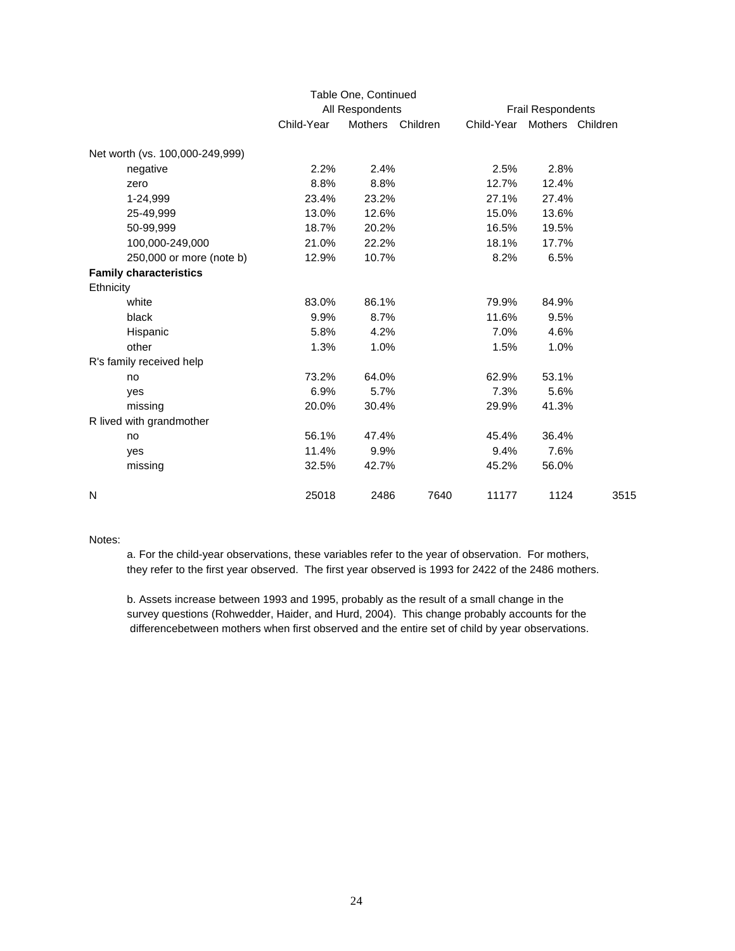|                                 |            | Table One, Continued |          |                          |                  |      |  |
|---------------------------------|------------|----------------------|----------|--------------------------|------------------|------|--|
|                                 |            | All Respondents      |          | <b>Frail Respondents</b> |                  |      |  |
|                                 | Child-Year | <b>Mothers</b>       | Children | Child-Year               | Mothers Children |      |  |
| Net worth (vs. 100,000-249,999) |            |                      |          |                          |                  |      |  |
| negative                        | 2.2%       | 2.4%                 |          | 2.5%                     | 2.8%             |      |  |
| zero                            | 8.8%       | 8.8%                 |          | 12.7%                    | 12.4%            |      |  |
| 1-24,999                        | 23.4%      | 23.2%                |          | 27.1%                    | 27.4%            |      |  |
| 25-49,999                       | 13.0%      | 12.6%                |          | 15.0%                    | 13.6%            |      |  |
| 50-99,999                       | 18.7%      | 20.2%                |          | 16.5%                    | 19.5%            |      |  |
| 100,000-249,000                 | 21.0%      | 22.2%                |          | 18.1%                    | 17.7%            |      |  |
| 250,000 or more (note b)        | 12.9%      | 10.7%                |          | 8.2%                     | 6.5%             |      |  |
| <b>Family characteristics</b>   |            |                      |          |                          |                  |      |  |
| Ethnicity                       |            |                      |          |                          |                  |      |  |
| white                           | 83.0%      | 86.1%                |          | 79.9%                    | 84.9%            |      |  |
| black                           | 9.9%       | 8.7%                 |          | 11.6%                    | 9.5%             |      |  |
| Hispanic                        | 5.8%       | 4.2%                 |          | 7.0%                     | 4.6%             |      |  |
| other                           | 1.3%       | 1.0%                 |          | 1.5%                     | 1.0%             |      |  |
| R's family received help        |            |                      |          |                          |                  |      |  |
| no                              | 73.2%      | 64.0%                |          | 62.9%                    | 53.1%            |      |  |
| yes                             | 6.9%       | 5.7%                 |          | 7.3%                     | 5.6%             |      |  |
| missing                         | 20.0%      | 30.4%                |          | 29.9%                    | 41.3%            |      |  |
| R lived with grandmother        |            |                      |          |                          |                  |      |  |
| no                              | 56.1%      | 47.4%                |          | 45.4%                    | 36.4%            |      |  |
| yes                             | 11.4%      | 9.9%                 |          | 9.4%                     | 7.6%             |      |  |
| missing                         | 32.5%      | 42.7%                |          | 45.2%                    | 56.0%            |      |  |
| N                               | 25018      | 2486                 | 7640     | 11177                    | 1124             | 3515 |  |

#### Notes:

a. For the child-year observations, these variables refer to the year of observation. For mothers, they refer to the first year observed. The first year observed is 1993 for 2422 of the 2486 mothers.

b. Assets increase between 1993 and 1995, probably as the result of a small change in the survey questions (Rohwedder, Haider, and Hurd, 2004). This change probably accounts for the differencebetween mothers when first observed and the entire set of child by year observations.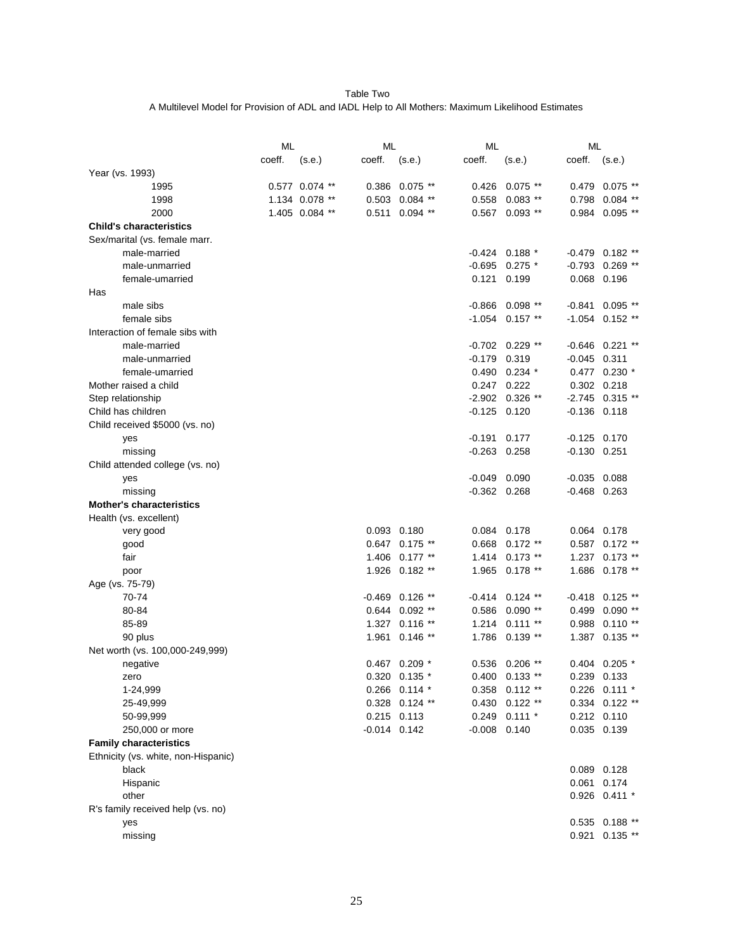Table Two A Multilevel Model for Provision of ADL and IADL Help to All Mothers: Maximum Likelihood Estimates

|                                     | ML     |                |                  | ML                 |                |                    | ML               |                   |
|-------------------------------------|--------|----------------|------------------|--------------------|----------------|--------------------|------------------|-------------------|
|                                     | coeff. | (s.e.)         | coeff.           | (s.e.)             | coeff.         | (s.e.)             | coeff.           | (s.e.)            |
| Year (vs. 1993)                     |        |                |                  |                    |                |                    |                  |                   |
| 1995                                |        | 0.577 0.074 ** | 0.386            | $0.075$ **         | 0.426          | $0.075$ **         | 0.479            | $0.075$ **        |
| 1998                                |        | 1.134 0.078 ** |                  | $0.503$ 0.084 **   | 0.558          | $0.083$ **         | 0.798            | $0.084$ **        |
| 2000                                |        | 1.405 0.084 ** | 0.511            | $0.094$ **         | 0.567          | $0.093$ **         | 0.984            | $0.095$ **        |
| <b>Child's characteristics</b>      |        |                |                  |                    |                |                    |                  |                   |
| Sex/marital (vs. female marr.       |        |                |                  |                    |                |                    |                  |                   |
| male-married                        |        |                |                  |                    | $-0.424$       | $0.188*$           | -0.479           | $0.182$ **        |
| male-unmarried                      |        |                |                  |                    | $-0.695$       | $0.275$ *          | $-0.793$         | $0.269$ **        |
| female-umarried                     |        |                |                  |                    | 0.121          | 0.199              | 0.068            | 0.196             |
| Has                                 |        |                |                  |                    |                |                    |                  |                   |
| male sibs                           |        |                |                  |                    | $-0.866$       | $0.098$ **         | $-0.841$         | $0.095$ **        |
| female sibs                         |        |                |                  |                    | $-1.054$       | $0.157$ **         | $-1.054$         | $0.152$ **        |
| Interaction of female sibs with     |        |                |                  |                    |                |                    |                  |                   |
| male-married                        |        |                |                  |                    |                | $-0.702$ 0.229 **  |                  | $-0.646$ 0.221 ** |
| male-unmarried                      |        |                |                  |                    | $-0.179$       | 0.319              | $-0.045$ 0.311   |                   |
| female-umarried                     |        |                |                  |                    | 0.490          | $0.234$ *          |                  | $0.477$ 0.230 $*$ |
| Mother raised a child               |        |                |                  |                    | 0.247          | 0.222              |                  | 0.302 0.218       |
| Step relationship                   |        |                |                  |                    | -2.902         | $0.326$ **         |                  | $-2.745$ 0.315 ** |
| Child has children                  |        |                |                  |                    | $-0.125$       | 0.120              | $-0.136$ $0.118$ |                   |
| Child received \$5000 (vs. no)      |        |                |                  |                    |                |                    |                  |                   |
| yes                                 |        |                |                  |                    | $-0.191$       | 0.177              | $-0.125$         | 0.170             |
| missing                             |        |                |                  |                    | $-0.263$       | 0.258              | $-0.130$ $0.251$ |                   |
| Child attended college (vs. no)     |        |                |                  |                    |                |                    |                  |                   |
| yes                                 |        |                |                  |                    | $-0.049$       | 0.090              | $-0.035$         | 0.088             |
| missing                             |        |                |                  |                    | $-0.362$       | 0.268              | $-0.468$ 0.263   |                   |
| <b>Mother's characteristics</b>     |        |                |                  |                    |                |                    |                  |                   |
| Health (vs. excellent)              |        |                |                  |                    |                |                    |                  |                   |
| very good                           |        |                |                  | 0.093 0.180        | 0.084          | 0.178              |                  | 0.064 0.178       |
| good                                |        |                |                  | 0.647 0.175 **     | 0.668          | $0.172$ **         |                  | 0.587 0.172 **    |
| fair                                |        |                |                  | 1.406 0.177 **     | 1.414          | $0.173$ **         | 1.237            | $0.173$ **        |
| poor                                |        |                |                  | 1.926 0.182 **     | 1.965          | $0.178$ **         |                  | 1.686 0.178 **    |
| Age (vs. 75-79)                     |        |                |                  |                    |                |                    |                  |                   |
| 70-74                               |        |                | $-0.469$         | $0.126$ **         | $-0.414$       | $0.124$ **         | $-0.418$         | $0.125$ **        |
| 80-84                               |        |                |                  | $0.644$ $0.092$ ** | 0.586          | $0.090$ **         | 0.499            | $0.090$ **        |
| 85-89                               |        |                |                  | 1.327 0.116 **     | 1.214          | $0.111**$          | 0.988            | $0.110**$         |
| 90 plus                             |        |                | 1.961            | $0.146$ **         | 1.786          | $0.139**$          | 1.387            | $0.135$ **        |
| Net worth (vs. 100,000-249,999)     |        |                |                  |                    |                |                    |                  |                   |
| negative                            |        |                |                  | $0.467$ 0.209 $*$  |                | 0.536 0.206 **     |                  | $0.404$ 0.205 $*$ |
| zero                                |        |                |                  | 0.320 0.135 *      |                | $0.400$ $0.133$ ** |                  | 0.239 0.133       |
| 1-24,999                            |        |                |                  | $0.266$ 0.114 $*$  |                | $0.358$ $0.112**$  |                  | $0.226$ 0.111 *   |
| 25-49,999                           |        |                |                  | 0.328 0.124 **     |                | $0.430$ $0.122$ ** |                  | 0.334 0.122 **    |
| 50-99,999                           |        |                |                  | 0.215 0.113        |                | $0.249$ 0.111 $*$  |                  | 0.212 0.110       |
| 250,000 or more                     |        |                | $-0.014$ $0.142$ |                    | $-0.008$ 0.140 |                    |                  | 0.035 0.139       |
| <b>Family characteristics</b>       |        |                |                  |                    |                |                    |                  |                   |
| Ethnicity (vs. white, non-Hispanic) |        |                |                  |                    |                |                    |                  |                   |
| black                               |        |                |                  |                    |                |                    |                  | 0.089 0.128       |
| Hispanic                            |        |                |                  |                    |                |                    | 0.061            | 0.174             |
| other                               |        |                |                  |                    |                |                    |                  | 0.926 0.411 *     |
| R's family received help (vs. no)   |        |                |                  |                    |                |                    |                  |                   |
| yes                                 |        |                |                  |                    |                |                    |                  | $0.535$ 0.188 **  |
| missing                             |        |                |                  |                    |                |                    |                  | 0.921 0.135 **    |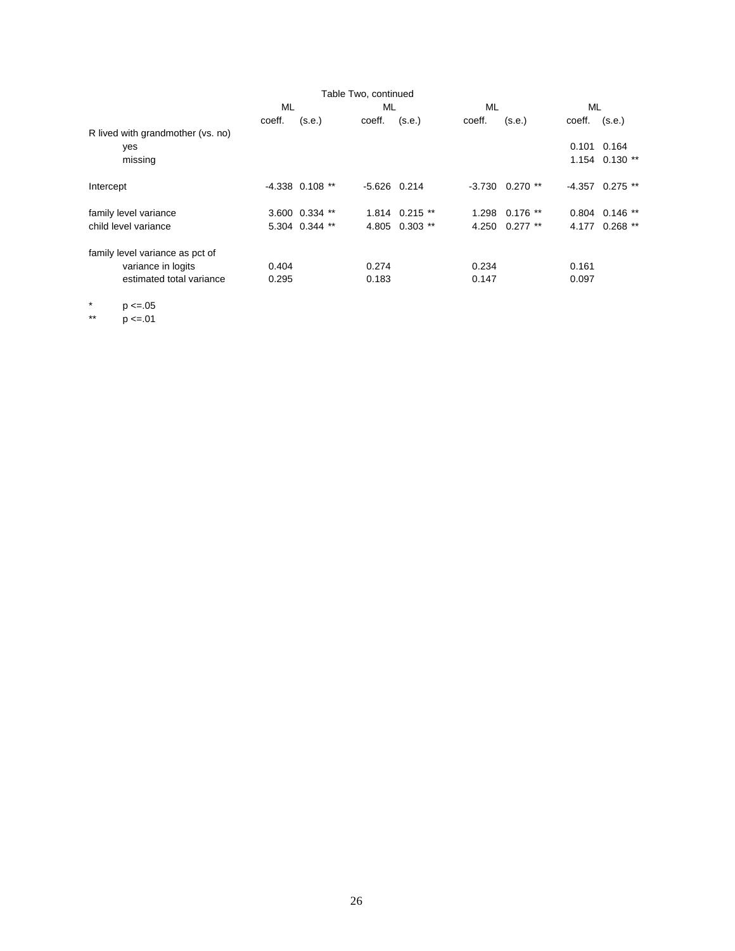| ML     |        | ML                                                    |        | ML                                                                           |            | ML                                  |                    |
|--------|--------|-------------------------------------------------------|--------|------------------------------------------------------------------------------|------------|-------------------------------------|--------------------|
| coeff. | (s.e.) | coeff.                                                | (s.e.) | coeff.                                                                       | (s.e.)     | coeff.                              | (s.e.)             |
|        |        |                                                       |        |                                                                              |            |                                     |                    |
|        |        |                                                       |        |                                                                              |            |                                     |                    |
|        |        |                                                       |        |                                                                              |            |                                     | $1.154$ 0.130 **   |
|        |        |                                                       |        |                                                                              |            |                                     | $-4.357$ 0.275 **  |
|        |        |                                                       |        |                                                                              |            |                                     | $0.804$ $0.146$ ** |
|        |        |                                                       |        |                                                                              | $0.277$ ** | 4.177                               | $0.268$ **         |
|        |        |                                                       |        |                                                                              |            |                                     |                    |
| 0.404  |        | 0.274                                                 |        | 0.234                                                                        |            | 0.161                               |                    |
| 0.295  |        | 0.183                                                 |        | 0.147                                                                        |            | 0.097                               |                    |
|        |        | $-4.338$ 0.108 **<br>3.600 0.334 **<br>5.304 0.344 ** |        | Table Two, continued<br>$-5.626$ 0.214<br>$1.814$ 0.215 **<br>4.805 0.303 ** | 4.250      | $-3.730$ 0.270 **<br>1.298 0.176 ** | 0.101 0.164        |

\*  $p \le 0.05$ <br>\*\*  $p \le 0.01$ 

 $p \le 01$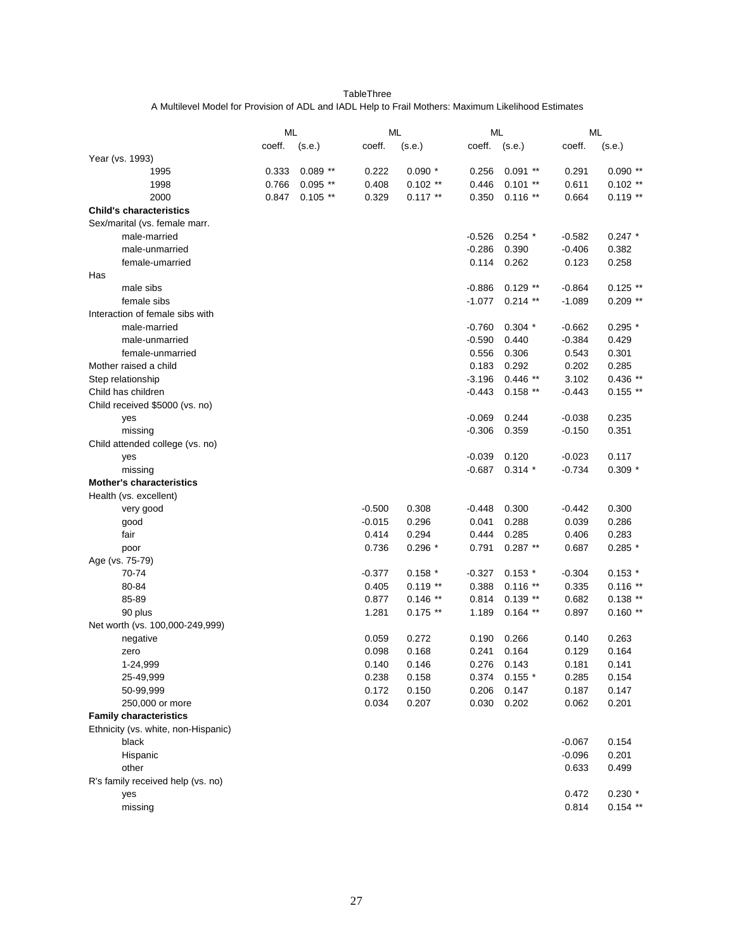TableThree A Multilevel Model for Provision of ADL and IADL Help to Frail Mothers: Maximum Likelihood Estimates

|                                     | ML     |            | ML       |            | ML       |            | ML       |            |
|-------------------------------------|--------|------------|----------|------------|----------|------------|----------|------------|
|                                     | coeff. | (s.e.)     | coeff.   | (s.e.)     | coeff.   | (s.e.)     | coeff.   | (s.e.)     |
| Year (vs. 1993)                     |        |            |          |            |          |            |          |            |
| 1995                                | 0.333  | $0.089**$  | 0.222    | $0.090*$   | 0.256    | $0.091$ ** | 0.291    | $0.090**$  |
| 1998                                | 0.766  | $0.095$ ** | 0.408    | $0.102$ ** | 0.446    | $0.101$ ** | 0.611    | $0.102$ ** |
| 2000                                | 0.847  | $0.105$ ** | 0.329    | $0.117**$  | 0.350    | $0.116$ ** | 0.664    | $0.119**$  |
| <b>Child's characteristics</b>      |        |            |          |            |          |            |          |            |
| Sex/marital (vs. female marr.       |        |            |          |            |          |            |          |            |
| male-married                        |        |            |          |            | $-0.526$ | $0.254$ *  | $-0.582$ | $0.247$ *  |
| male-unmarried                      |        |            |          |            | $-0.286$ | 0.390      | $-0.406$ | 0.382      |
| female-umarried                     |        |            |          |            | 0.114    | 0.262      | 0.123    | 0.258      |
| Has                                 |        |            |          |            |          |            |          |            |
| male sibs                           |        |            |          |            | $-0.886$ | $0.129$ ** | $-0.864$ | $0.125$ ** |
| female sibs                         |        |            |          |            | $-1.077$ | $0.214$ ** | $-1.089$ | $0.209$ ** |
| Interaction of female sibs with     |        |            |          |            |          |            |          |            |
| male-married                        |        |            |          |            | $-0.760$ | $0.304*$   | $-0.662$ | $0.295*$   |
| male-unmarried                      |        |            |          |            | $-0.590$ | 0.440      | $-0.384$ | 0.429      |
| female-unmarried                    |        |            |          |            | 0.556    | 0.306      | 0.543    | 0.301      |
| Mother raised a child               |        |            |          |            | 0.183    | 0.292      | 0.202    | 0.285      |
| Step relationship                   |        |            |          |            | $-3.196$ | $0.446$ ** | 3.102    | $0.436**$  |
| Child has children                  |        |            |          |            | $-0.443$ | $0.158**$  | $-0.443$ | $0.155$ ** |
| Child received \$5000 (vs. no)      |        |            |          |            |          |            |          |            |
| yes                                 |        |            |          |            | $-0.069$ | 0.244      | $-0.038$ | 0.235      |
| missing                             |        |            |          |            | $-0.306$ | 0.359      | $-0.150$ | 0.351      |
| Child attended college (vs. no)     |        |            |          |            |          |            |          |            |
| yes                                 |        |            |          |            | $-0.039$ | 0.120      | $-0.023$ | 0.117      |
| missing                             |        |            |          |            | $-0.687$ | $0.314*$   | $-0.734$ | $0.309*$   |
| <b>Mother's characteristics</b>     |        |            |          |            |          |            |          |            |
|                                     |        |            |          |            |          |            |          |            |
| Health (vs. excellent)              |        |            |          |            |          |            |          |            |
| very good                           |        |            | $-0.500$ | 0.308      | $-0.448$ | 0.300      | $-0.442$ | 0.300      |
| good                                |        |            | $-0.015$ | 0.296      | 0.041    | 0.288      | 0.039    | 0.286      |
| fair                                |        |            | 0.414    | 0.294      | 0.444    | 0.285      | 0.406    | 0.283      |
| poor                                |        |            | 0.736    | $0.296*$   | 0.791    | $0.287$ ** | 0.687    | $0.285*$   |
| Age (vs. 75-79)                     |        |            |          |            |          |            |          |            |
| 70-74                               |        |            | $-0.377$ | $0.158*$   | $-0.327$ | $0.153*$   | $-0.304$ | $0.153*$   |
| 80-84                               |        |            | 0.405    | $0.119**$  | 0.388    | $0.116**$  | 0.335    | $0.116**$  |
| 85-89                               |        |            | 0.877    | $0.146**$  | 0.814    | $0.139**$  | 0.682    | $0.138**$  |
| 90 plus                             |        |            | 1.281    | $0.175$ ** | 1.189    | $0.164$ ** | 0.897    | $0.160**$  |
| Net worth (vs. 100,000-249,999)     |        |            |          |            |          |            |          |            |
| negative                            |        |            | 0.059    | 0.272      | 0.190    | 0.266      | 0.140    | 0.263      |
| zero                                |        |            | 0.098    | 0.168      | 0.241    | 0.164      | 0.129    | 0.164      |
| 1-24,999                            |        |            | 0.140    | 0.146      | 0.276    | 0.143      | 0.181    | 0.141      |
| 25-49,999                           |        |            | 0.238    | 0.158      | 0.374    | $0.155$ *  | 0.285    | 0.154      |
| 50-99,999                           |        |            | 0.172    | 0.150      | 0.206    | 0.147      | 0.187    | 0.147      |
| 250,000 or more                     |        |            | 0.034    | 0.207      | 0.030    | 0.202      | 0.062    | 0.201      |
| <b>Family characteristics</b>       |        |            |          |            |          |            |          |            |
| Ethnicity (vs. white, non-Hispanic) |        |            |          |            |          |            |          |            |
| black                               |        |            |          |            |          |            | $-0.067$ | 0.154      |
| Hispanic                            |        |            |          |            |          |            | $-0.096$ | 0.201      |
| other                               |        |            |          |            |          |            | 0.633    | 0.499      |
| R's family received help (vs. no)   |        |            |          |            |          |            |          |            |
| yes                                 |        |            |          |            |          |            | 0.472    | $0.230*$   |
| missing                             |        |            |          |            |          |            | 0.814    | $0.154$ ** |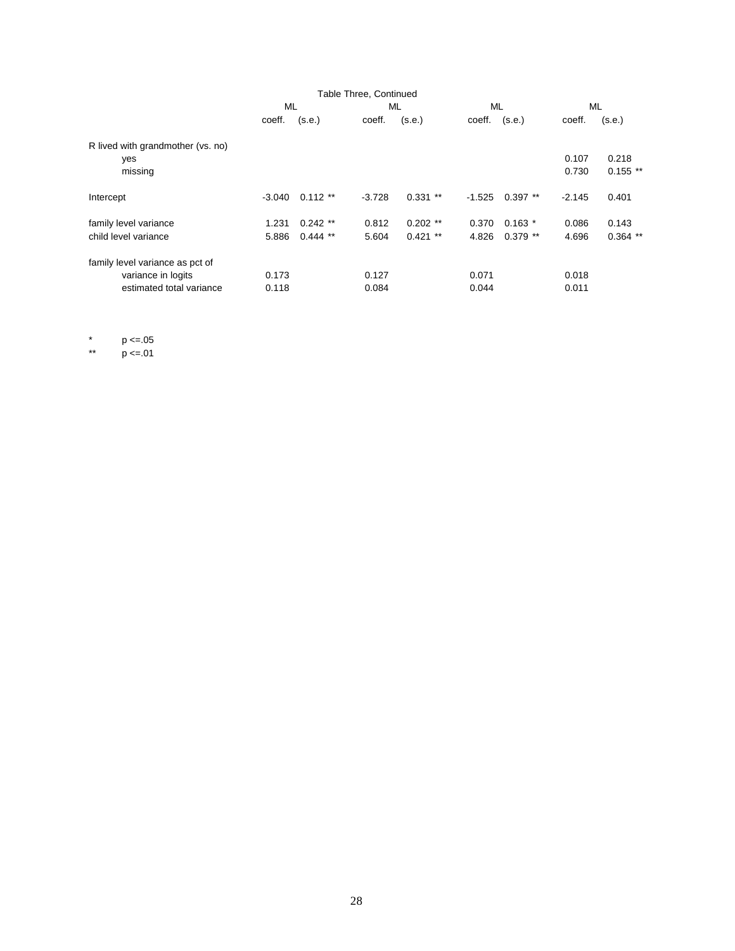|                                   |          |            | Table Three, Continued |            |          |            |          |            |
|-----------------------------------|----------|------------|------------------------|------------|----------|------------|----------|------------|
|                                   | ML       |            | ML                     |            | ML       |            | ML       |            |
|                                   | coeff.   | (s.e.)     | coeff.                 | (s.e.)     | coeff.   | (s.e.)     | coeff.   | (s.e.)     |
| R lived with grandmother (vs. no) |          |            |                        |            |          |            |          |            |
| yes                               |          |            |                        |            |          |            | 0.107    | 0.218      |
| missing                           |          |            |                        |            |          |            | 0.730    | $0.155$ ** |
| Intercept                         | $-3.040$ | $0.112**$  | $-3.728$               | $0.331$ ** | $-1.525$ | $0.397$ ** | $-2.145$ | 0.401      |
| family level variance             | 1.231    | $0.242$ ** | 0.812                  | $0.202$ ** | 0.370    | $0.163*$   | 0.086    | 0.143      |
| child level variance              | 5.886    | $0.444$ ** | 5.604                  | $0.421$ ** | 4.826    | $0.379$ ** | 4.696    | $0.364$ ** |
| family level variance as pct of   |          |            |                        |            |          |            |          |            |
| variance in logits                | 0.173    |            | 0.127                  |            | 0.071    |            | 0.018    |            |
| estimated total variance          | 0.118    |            | 0.084                  |            | 0.044    |            | 0.011    |            |

\*  $p \le 0.05$ <br>\*\*  $p \le 0.01$ 

 $p \le 0.01$